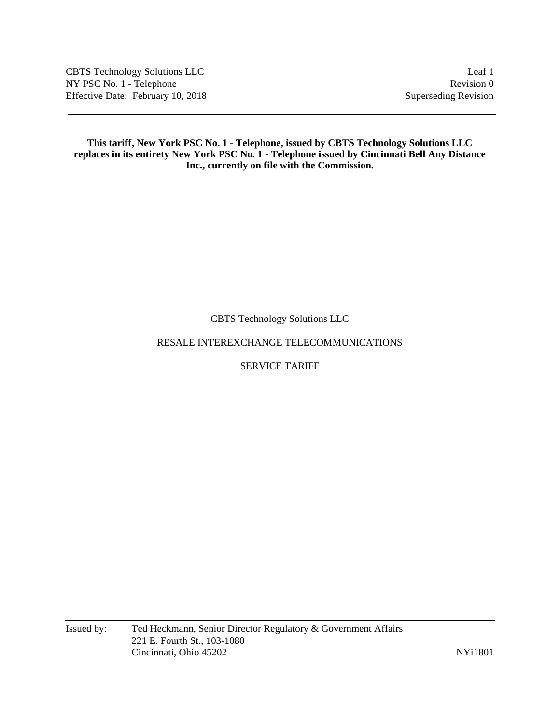CBTS Technology Solutions LLC Leaf 1 NY PSC No. 1 - Telephone Revision 0 Effective Date: February 10, 2018 Superseding Revision

### **This tariff, New York PSC No. 1 - Telephone, issued by CBTS Technology Solutions LLC replaces in its entirety New York PSC No. 1 - Telephone issued by Cincinnati Bell Any Distance Inc., currently on file with the Commission.**

CBTS Technology Solutions LLC

# RESALE INTEREXCHANGE TELECOMMUNICATIONS

# SERVICE TARIFF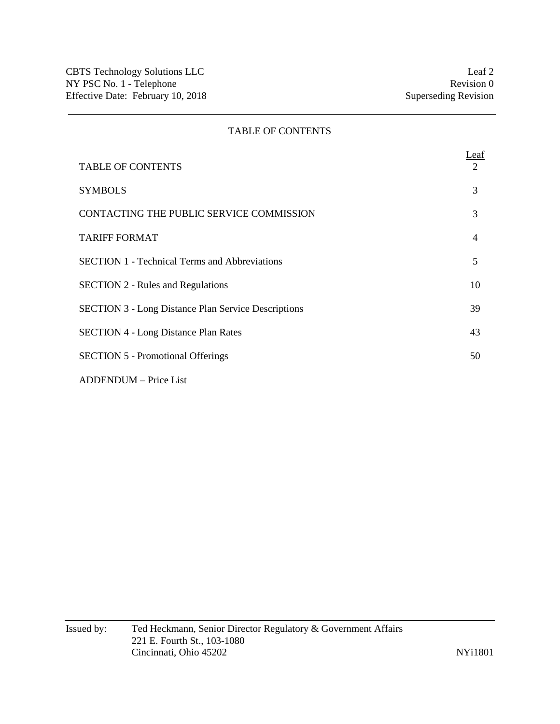## TABLE OF CONTENTS

|                                                            | <u>Leaf</u> |
|------------------------------------------------------------|-------------|
| <b>TABLE OF CONTENTS</b>                                   | 2           |
| <b>SYMBOLS</b>                                             | 3           |
| CONTACTING THE PUBLIC SERVICE COMMISSION                   | 3           |
| <b>TARIFF FORMAT</b>                                       | 4           |
| <b>SECTION 1 - Technical Terms and Abbreviations</b>       | 5           |
| <b>SECTION 2 - Rules and Regulations</b>                   | 10          |
| <b>SECTION 3 - Long Distance Plan Service Descriptions</b> | 39          |
| <b>SECTION 4 - Long Distance Plan Rates</b>                | 43          |
| <b>SECTION 5 - Promotional Offerings</b>                   | 50          |
| ADDENDUM – Price List                                      |             |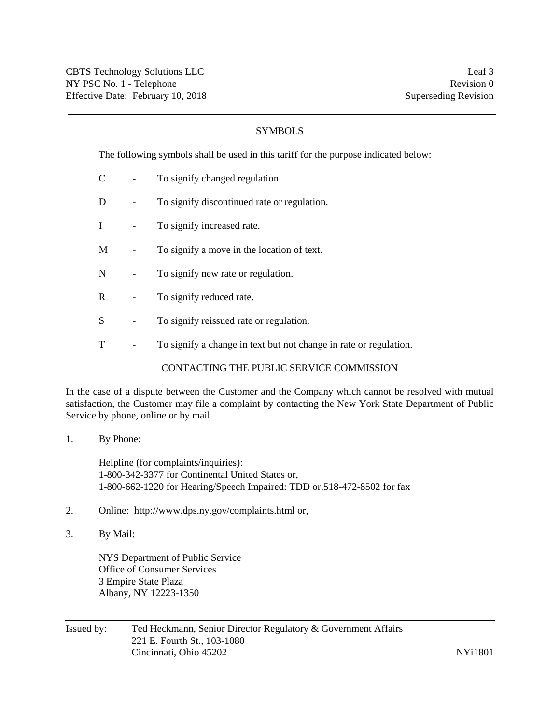# SYMBOLS

The following symbols shall be used in this tariff for the purpose indicated below:

- C To signify changed regulation.
- D To signify discontinued rate or regulation.
- I To signify increased rate.
- M To signify a move in the location of text.
- N To signify new rate or regulation.
- R To signify reduced rate.
- S To signify reissued rate or regulation.
- T To signify a change in text but not change in rate or regulation.

### CONTACTING THE PUBLIC SERVICE COMMISSION

In the case of a dispute between the Customer and the Company which cannot be resolved with mutual satisfaction, the Customer may file a complaint by contacting the New York State Department of Public Service by phone, online or by mail.

1. By Phone:

Helpline (for complaints/inquiries): 1-800-342-3377 for Continental United States or, 1-800-662-1220 for Hearing/Speech Impaired: TDD or,518-472-8502 for fax

- 2. Online: http://www.dps.ny.gov/complaints.html or,
- 3. By Mail:

NYS Department of Public Service Office of Consumer Services 3 Empire State Plaza Albany, NY 12223-1350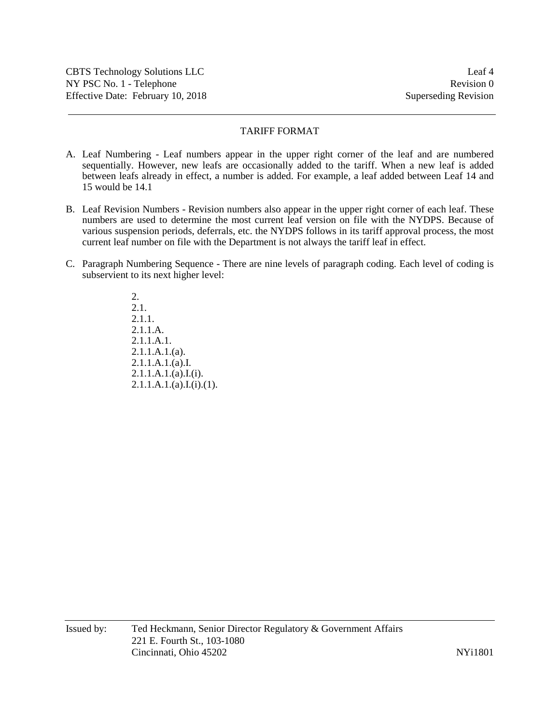# TARIFF FORMAT

- A. Leaf Numbering Leaf numbers appear in the upper right corner of the leaf and are numbered sequentially. However, new leafs are occasionally added to the tariff. When a new leaf is added between leafs already in effect, a number is added. For example, a leaf added between Leaf 14 and 15 would be 14.1
- B. Leaf Revision Numbers Revision numbers also appear in the upper right corner of each leaf. These numbers are used to determine the most current leaf version on file with the NYDPS. Because of various suspension periods, deferrals, etc. the NYDPS follows in its tariff approval process, the most current leaf number on file with the Department is not always the tariff leaf in effect.
- C. Paragraph Numbering Sequence There are nine levels of paragraph coding. Each level of coding is subservient to its next higher level:

2. 2.1. 2.1.1. 2.1.1.A. 2.1.1.A.1. 2.1.1.A.1.(a). 2.1.1.A.1.(a).I.  $2.1.1.A.1.(a).I.(i).$  $2.1.1.A.1.(a).I.(i).(1).$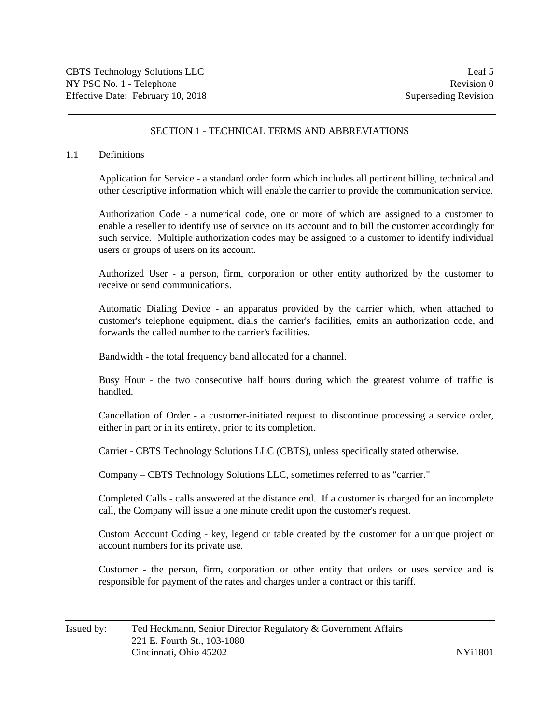## SECTION 1 - TECHNICAL TERMS AND ABBREVIATIONS

#### 1.1 Definitions

Application for Service - a standard order form which includes all pertinent billing, technical and other descriptive information which will enable the carrier to provide the communication service.

Authorization Code - a numerical code, one or more of which are assigned to a customer to enable a reseller to identify use of service on its account and to bill the customer accordingly for such service. Multiple authorization codes may be assigned to a customer to identify individual users or groups of users on its account.

Authorized User - a person, firm, corporation or other entity authorized by the customer to receive or send communications.

Automatic Dialing Device - an apparatus provided by the carrier which, when attached to customer's telephone equipment, dials the carrier's facilities, emits an authorization code, and forwards the called number to the carrier's facilities.

Bandwidth - the total frequency band allocated for a channel.

Busy Hour - the two consecutive half hours during which the greatest volume of traffic is handled.

Cancellation of Order - a customer-initiated request to discontinue processing a service order, either in part or in its entirety, prior to its completion.

Carrier - CBTS Technology Solutions LLC (CBTS), unless specifically stated otherwise.

Company – CBTS Technology Solutions LLC, sometimes referred to as "carrier."

Completed Calls - calls answered at the distance end. If a customer is charged for an incomplete call, the Company will issue a one minute credit upon the customer's request.

Custom Account Coding - key, legend or table created by the customer for a unique project or account numbers for its private use.

Customer - the person, firm, corporation or other entity that orders or uses service and is responsible for payment of the rates and charges under a contract or this tariff.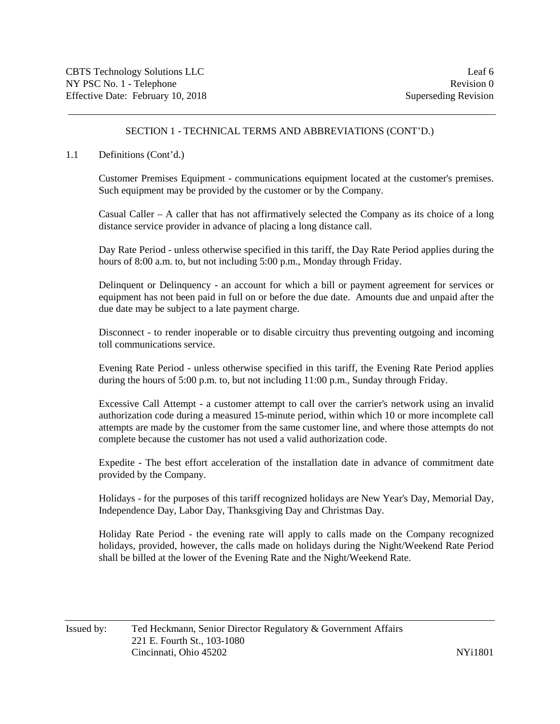### 1.1 Definitions (Cont'd.)

Customer Premises Equipment - communications equipment located at the customer's premises. Such equipment may be provided by the customer or by the Company.

Casual Caller – A caller that has not affirmatively selected the Company as its choice of a long distance service provider in advance of placing a long distance call.

Day Rate Period - unless otherwise specified in this tariff, the Day Rate Period applies during the hours of 8:00 a.m. to, but not including 5:00 p.m., Monday through Friday.

Delinquent or Delinquency - an account for which a bill or payment agreement for services or equipment has not been paid in full on or before the due date. Amounts due and unpaid after the due date may be subject to a late payment charge.

Disconnect - to render inoperable or to disable circuitry thus preventing outgoing and incoming toll communications service.

Evening Rate Period - unless otherwise specified in this tariff, the Evening Rate Period applies during the hours of 5:00 p.m. to, but not including 11:00 p.m., Sunday through Friday.

Excessive Call Attempt - a customer attempt to call over the carrier's network using an invalid authorization code during a measured 15-minute period, within which 10 or more incomplete call attempts are made by the customer from the same customer line, and where those attempts do not complete because the customer has not used a valid authorization code.

Expedite - The best effort acceleration of the installation date in advance of commitment date provided by the Company.

Holidays - for the purposes of this tariff recognized holidays are New Year's Day, Memorial Day, Independence Day, Labor Day, Thanksgiving Day and Christmas Day.

Holiday Rate Period - the evening rate will apply to calls made on the Company recognized holidays, provided, however, the calls made on holidays during the Night/Weekend Rate Period shall be billed at the lower of the Evening Rate and the Night/Weekend Rate.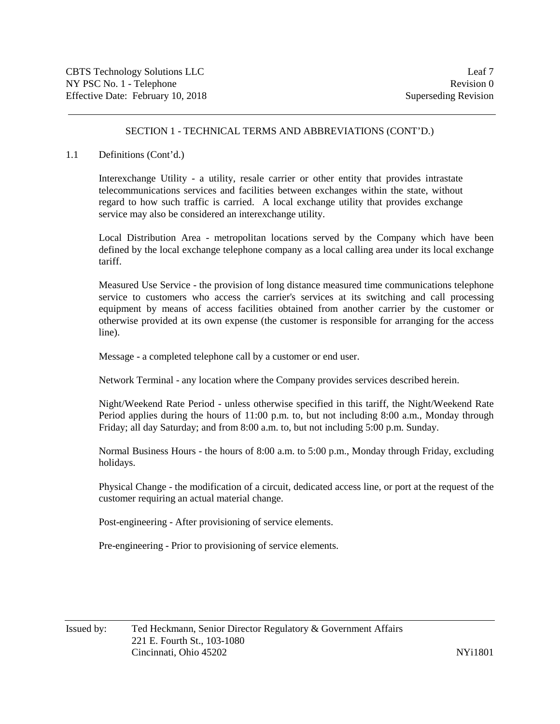### 1.1 Definitions (Cont'd.)

Interexchange Utility - a utility, resale carrier or other entity that provides intrastate telecommunications services and facilities between exchanges within the state, without regard to how such traffic is carried. A local exchange utility that provides exchange service may also be considered an interexchange utility.

Local Distribution Area - metropolitan locations served by the Company which have been defined by the local exchange telephone company as a local calling area under its local exchange tariff.

Measured Use Service - the provision of long distance measured time communications telephone service to customers who access the carrier's services at its switching and call processing equipment by means of access facilities obtained from another carrier by the customer or otherwise provided at its own expense (the customer is responsible for arranging for the access line).

Message - a completed telephone call by a customer or end user.

Network Terminal - any location where the Company provides services described herein.

Night/Weekend Rate Period - unless otherwise specified in this tariff, the Night/Weekend Rate Period applies during the hours of 11:00 p.m. to, but not including 8:00 a.m., Monday through Friday; all day Saturday; and from 8:00 a.m. to, but not including 5:00 p.m. Sunday.

Normal Business Hours - the hours of 8:00 a.m. to 5:00 p.m., Monday through Friday, excluding holidays.

Physical Change - the modification of a circuit, dedicated access line, or port at the request of the customer requiring an actual material change.

Post-engineering - After provisioning of service elements.

Pre-engineering - Prior to provisioning of service elements.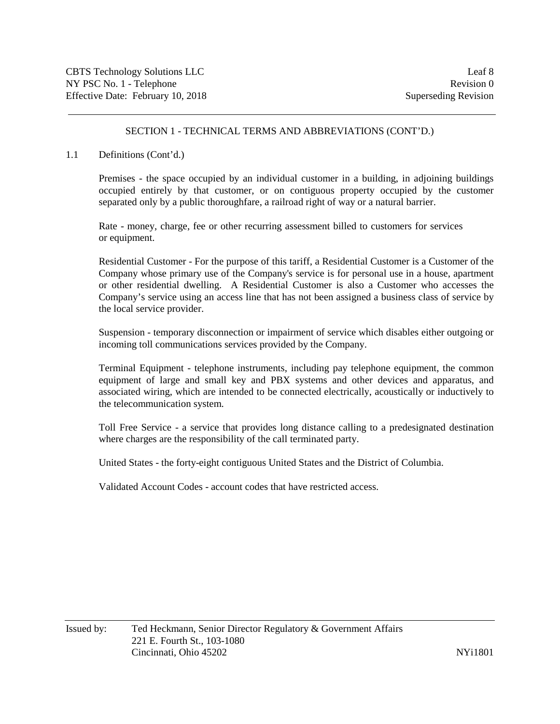### 1.1 Definitions (Cont'd.)

Premises - the space occupied by an individual customer in a building, in adjoining buildings occupied entirely by that customer, or on contiguous property occupied by the customer separated only by a public thoroughfare, a railroad right of way or a natural barrier.

Rate - money, charge, fee or other recurring assessment billed to customers for services or equipment.

Residential Customer - For the purpose of this tariff, a Residential Customer is a Customer of the Company whose primary use of the Company's service is for personal use in a house, apartment or other residential dwelling. A Residential Customer is also a Customer who accesses the Company's service using an access line that has not been assigned a business class of service by the local service provider.

Suspension - temporary disconnection or impairment of service which disables either outgoing or incoming toll communications services provided by the Company.

Terminal Equipment - telephone instruments, including pay telephone equipment, the common equipment of large and small key and PBX systems and other devices and apparatus, and associated wiring, which are intended to be connected electrically, acoustically or inductively to the telecommunication system.

Toll Free Service - a service that provides long distance calling to a predesignated destination where charges are the responsibility of the call terminated party.

United States - the forty-eight contiguous United States and the District of Columbia.

Validated Account Codes - account codes that have restricted access.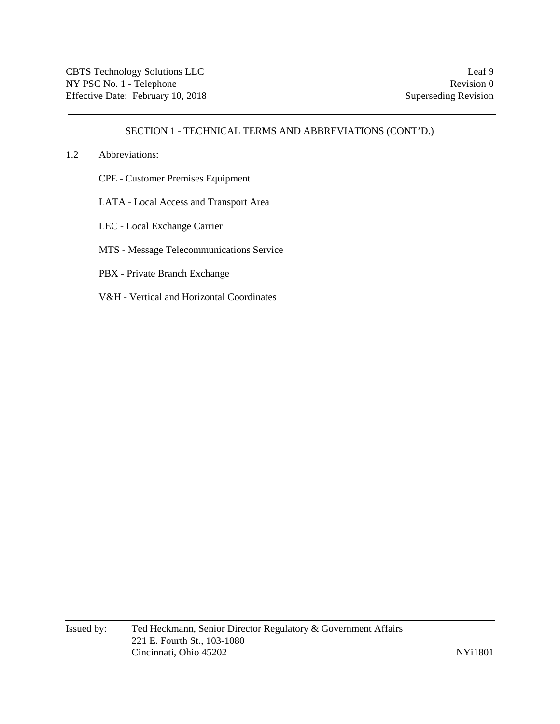### 1.2 Abbreviations:

- CPE Customer Premises Equipment
- LATA Local Access and Transport Area
- LEC Local Exchange Carrier
- MTS Message Telecommunications Service
- PBX Private Branch Exchange
- V&H Vertical and Horizontal Coordinates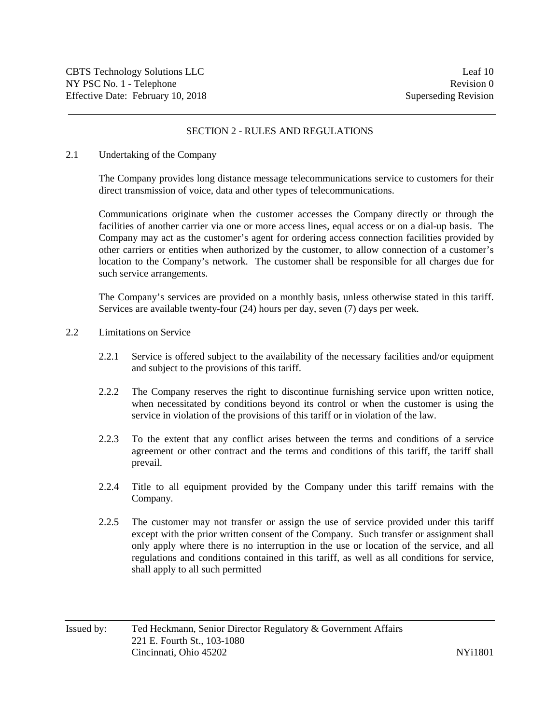## SECTION 2 - RULES AND REGULATIONS

#### 2.1 Undertaking of the Company

The Company provides long distance message telecommunications service to customers for their direct transmission of voice, data and other types of telecommunications.

Communications originate when the customer accesses the Company directly or through the facilities of another carrier via one or more access lines, equal access or on a dial-up basis. The Company may act as the customer's agent for ordering access connection facilities provided by other carriers or entities when authorized by the customer, to allow connection of a customer's location to the Company's network. The customer shall be responsible for all charges due for such service arrangements.

The Company's services are provided on a monthly basis, unless otherwise stated in this tariff. Services are available twenty-four (24) hours per day, seven (7) days per week.

### 2.2 Limitations on Service

- 2.2.1 Service is offered subject to the availability of the necessary facilities and/or equipment and subject to the provisions of this tariff.
- 2.2.2 The Company reserves the right to discontinue furnishing service upon written notice, when necessitated by conditions beyond its control or when the customer is using the service in violation of the provisions of this tariff or in violation of the law.
- 2.2.3 To the extent that any conflict arises between the terms and conditions of a service agreement or other contract and the terms and conditions of this tariff, the tariff shall prevail.
- 2.2.4 Title to all equipment provided by the Company under this tariff remains with the Company.
- 2.2.5 The customer may not transfer or assign the use of service provided under this tariff except with the prior written consent of the Company. Such transfer or assignment shall only apply where there is no interruption in the use or location of the service, and all regulations and conditions contained in this tariff, as well as all conditions for service, shall apply to all such permitted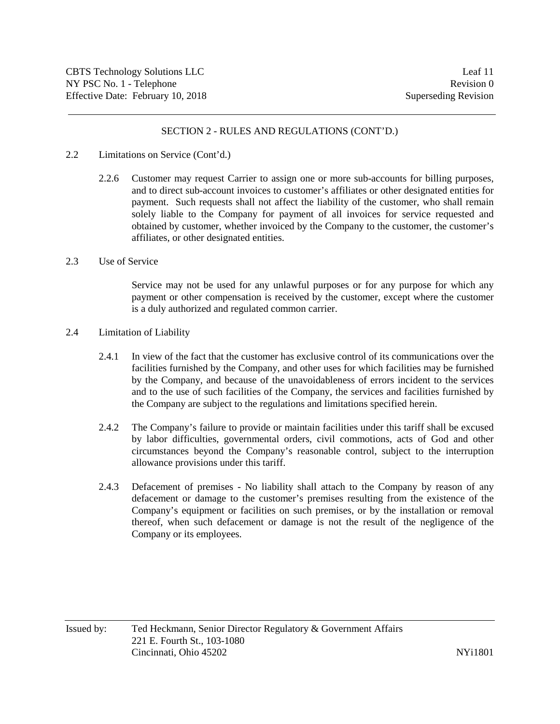### 2.2 Limitations on Service (Cont'd.)

2.2.6 Customer may request Carrier to assign one or more sub-accounts for billing purposes, and to direct sub-account invoices to customer's affiliates or other designated entities for payment. Such requests shall not affect the liability of the customer, who shall remain solely liable to the Company for payment of all invoices for service requested and obtained by customer, whether invoiced by the Company to the customer, the customer's affiliates, or other designated entities.

#### 2.3 Use of Service

Service may not be used for any unlawful purposes or for any purpose for which any payment or other compensation is received by the customer, except where the customer is a duly authorized and regulated common carrier.

#### 2.4 Limitation of Liability

- 2.4.1 In view of the fact that the customer has exclusive control of its communications over the facilities furnished by the Company, and other uses for which facilities may be furnished by the Company, and because of the unavoidableness of errors incident to the services and to the use of such facilities of the Company, the services and facilities furnished by the Company are subject to the regulations and limitations specified herein.
- 2.4.2 The Company's failure to provide or maintain facilities under this tariff shall be excused by labor difficulties, governmental orders, civil commotions, acts of God and other circumstances beyond the Company's reasonable control, subject to the interruption allowance provisions under this tariff.
- 2.4.3 Defacement of premises No liability shall attach to the Company by reason of any defacement or damage to the customer's premises resulting from the existence of the Company's equipment or facilities on such premises, or by the installation or removal thereof, when such defacement or damage is not the result of the negligence of the Company or its employees.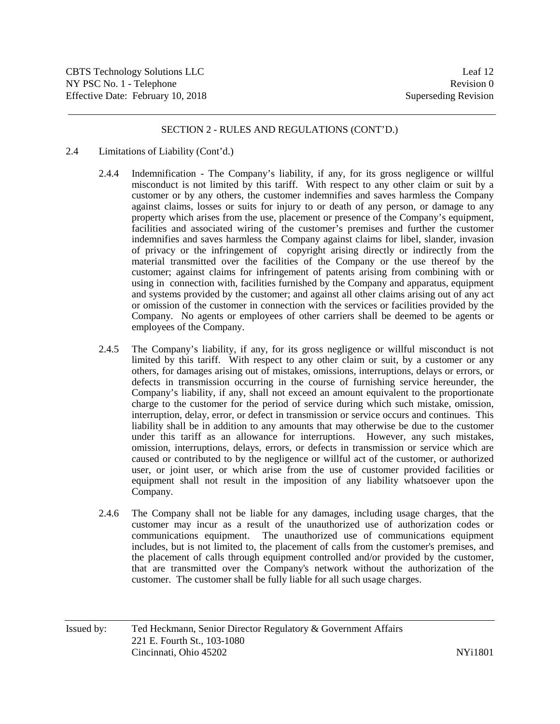- 2.4 Limitations of Liability (Cont'd.)
	- 2.4.4 Indemnification The Company's liability, if any, for its gross negligence or willful misconduct is not limited by this tariff. With respect to any other claim or suit by a customer or by any others, the customer indemnifies and saves harmless the Company against claims, losses or suits for injury to or death of any person, or damage to any property which arises from the use, placement or presence of the Company's equipment, facilities and associated wiring of the customer's premises and further the customer indemnifies and saves harmless the Company against claims for libel, slander, invasion of privacy or the infringement of copyright arising directly or indirectly from the material transmitted over the facilities of the Company or the use thereof by the customer; against claims for infringement of patents arising from combining with or using in connection with, facilities furnished by the Company and apparatus, equipment and systems provided by the customer; and against all other claims arising out of any act or omission of the customer in connection with the services or facilities provided by the Company. No agents or employees of other carriers shall be deemed to be agents or employees of the Company.
	- 2.4.5 The Company's liability, if any, for its gross negligence or willful misconduct is not limited by this tariff. With respect to any other claim or suit, by a customer or any others, for damages arising out of mistakes, omissions, interruptions, delays or errors, or defects in transmission occurring in the course of furnishing service hereunder, the Company's liability, if any, shall not exceed an amount equivalent to the proportionate charge to the customer for the period of service during which such mistake, omission, interruption, delay, error, or defect in transmission or service occurs and continues. This liability shall be in addition to any amounts that may otherwise be due to the customer under this tariff as an allowance for interruptions. However, any such mistakes, omission, interruptions, delays, errors, or defects in transmission or service which are caused or contributed to by the negligence or willful act of the customer, or authorized user, or joint user, or which arise from the use of customer provided facilities or equipment shall not result in the imposition of any liability whatsoever upon the Company.
	- 2.4.6 The Company shall not be liable for any damages, including usage charges, that the customer may incur as a result of the unauthorized use of authorization codes or communications equipment. The unauthorized use of communications equipment includes, but is not limited to, the placement of calls from the customer's premises, and the placement of calls through equipment controlled and/or provided by the customer, that are transmitted over the Company's network without the authorization of the customer. The customer shall be fully liable for all such usage charges.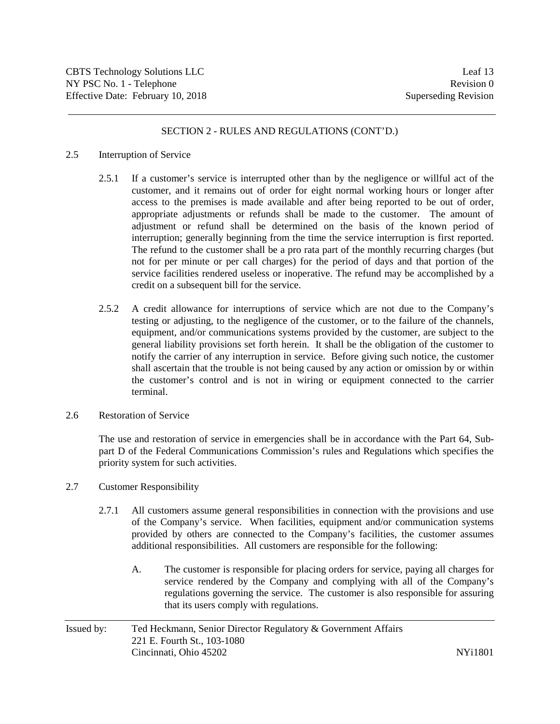#### 2.5 Interruption of Service

- 2.5.1 If a customer's service is interrupted other than by the negligence or willful act of the customer, and it remains out of order for eight normal working hours or longer after access to the premises is made available and after being reported to be out of order, appropriate adjustments or refunds shall be made to the customer. The amount of adjustment or refund shall be determined on the basis of the known period of interruption; generally beginning from the time the service interruption is first reported. The refund to the customer shall be a pro rata part of the monthly recurring charges (but not for per minute or per call charges) for the period of days and that portion of the service facilities rendered useless or inoperative. The refund may be accomplished by a credit on a subsequent bill for the service.
- 2.5.2 A credit allowance for interruptions of service which are not due to the Company's testing or adjusting, to the negligence of the customer, or to the failure of the channels, equipment, and/or communications systems provided by the customer, are subject to the general liability provisions set forth herein. It shall be the obligation of the customer to notify the carrier of any interruption in service. Before giving such notice, the customer shall ascertain that the trouble is not being caused by any action or omission by or within the customer's control and is not in wiring or equipment connected to the carrier terminal.
- 2.6 Restoration of Service

The use and restoration of service in emergencies shall be in accordance with the Part 64, Subpart D of the Federal Communications Commission's rules and Regulations which specifies the priority system for such activities.

- 2.7 Customer Responsibility
	- 2.7.1 All customers assume general responsibilities in connection with the provisions and use of the Company's service. When facilities, equipment and/or communication systems provided by others are connected to the Company's facilities, the customer assumes additional responsibilities. All customers are responsible for the following:
		- A. The customer is responsible for placing orders for service, paying all charges for service rendered by the Company and complying with all of the Company's regulations governing the service. The customer is also responsible for assuring that its users comply with regulations.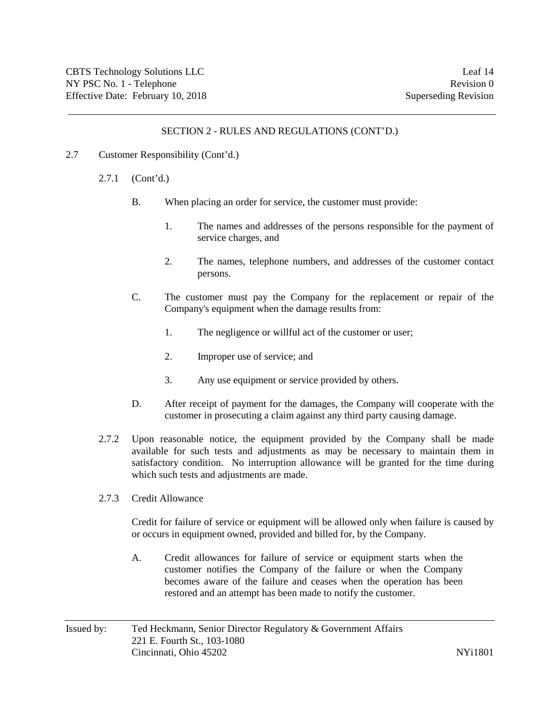- 2.7 Customer Responsibility (Cont'd.)
	- 2.7.1 (Cont'd.)
		- B. When placing an order for service, the customer must provide:
			- 1. The names and addresses of the persons responsible for the payment of service charges, and
			- 2. The names, telephone numbers, and addresses of the customer contact persons.
		- C. The customer must pay the Company for the replacement or repair of the Company's equipment when the damage results from:
			- 1. The negligence or willful act of the customer or user;
			- 2. Improper use of service; and
			- 3. Any use equipment or service provided by others.
		- D. After receipt of payment for the damages, the Company will cooperate with the customer in prosecuting a claim against any third party causing damage.
	- 2.7.2 Upon reasonable notice, the equipment provided by the Company shall be made available for such tests and adjustments as may be necessary to maintain them in satisfactory condition. No interruption allowance will be granted for the time during which such tests and adjustments are made.
	- 2.7.3 Credit Allowance

Credit for failure of service or equipment will be allowed only when failure is caused by or occurs in equipment owned, provided and billed for, by the Company.

A. Credit allowances for failure of service or equipment starts when the customer notifies the Company of the failure or when the Company becomes aware of the failure and ceases when the operation has been restored and an attempt has been made to notify the customer.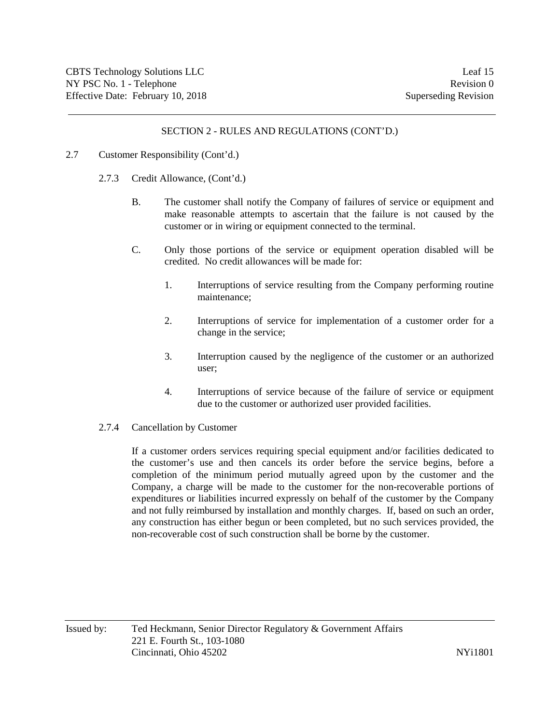### 2.7 Customer Responsibility (Cont'd.)

- 2.7.3 Credit Allowance, (Cont'd.)
	- B. The customer shall notify the Company of failures of service or equipment and make reasonable attempts to ascertain that the failure is not caused by the customer or in wiring or equipment connected to the terminal.
	- C. Only those portions of the service or equipment operation disabled will be credited. No credit allowances will be made for:
		- 1. Interruptions of service resulting from the Company performing routine maintenance;
		- 2. Interruptions of service for implementation of a customer order for a change in the service;
		- 3. Interruption caused by the negligence of the customer or an authorized user;
		- 4. Interruptions of service because of the failure of service or equipment due to the customer or authorized user provided facilities.

### 2.7.4 Cancellation by Customer

If a customer orders services requiring special equipment and/or facilities dedicated to the customer's use and then cancels its order before the service begins, before a completion of the minimum period mutually agreed upon by the customer and the Company, a charge will be made to the customer for the non-recoverable portions of expenditures or liabilities incurred expressly on behalf of the customer by the Company and not fully reimbursed by installation and monthly charges. If, based on such an order, any construction has either begun or been completed, but no such services provided, the non-recoverable cost of such construction shall be borne by the customer.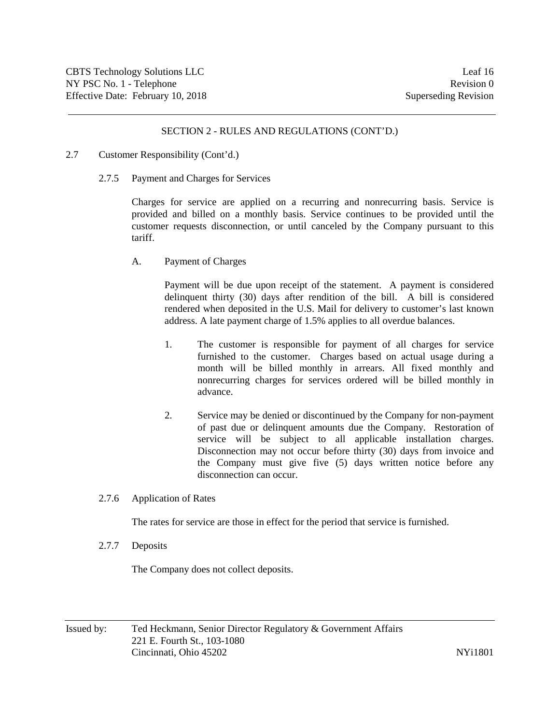- 2.7 Customer Responsibility (Cont'd.)
	- 2.7.5 Payment and Charges for Services

Charges for service are applied on a recurring and nonrecurring basis. Service is provided and billed on a monthly basis. Service continues to be provided until the customer requests disconnection, or until canceled by the Company pursuant to this tariff.

A. Payment of Charges

Payment will be due upon receipt of the statement. A payment is considered delinquent thirty (30) days after rendition of the bill. A bill is considered rendered when deposited in the U.S. Mail for delivery to customer's last known address. A late payment charge of 1.5% applies to all overdue balances.

- 1. The customer is responsible for payment of all charges for service furnished to the customer. Charges based on actual usage during a month will be billed monthly in arrears. All fixed monthly and nonrecurring charges for services ordered will be billed monthly in advance.
- 2. Service may be denied or discontinued by the Company for non-payment of past due or delinquent amounts due the Company. Restoration of service will be subject to all applicable installation charges. Disconnection may not occur before thirty (30) days from invoice and the Company must give five (5) days written notice before any disconnection can occur.
- 2.7.6 Application of Rates

The rates for service are those in effect for the period that service is furnished.

2.7.7 Deposits

The Company does not collect deposits.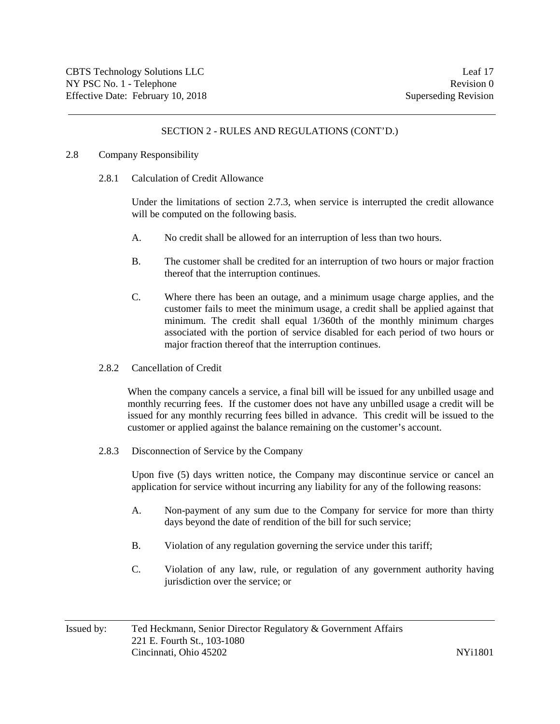### 2.8 Company Responsibility

2.8.1 Calculation of Credit Allowance

Under the limitations of section 2.7.3, when service is interrupted the credit allowance will be computed on the following basis.

- A. No credit shall be allowed for an interruption of less than two hours.
- B. The customer shall be credited for an interruption of two hours or major fraction thereof that the interruption continues.
- C. Where there has been an outage, and a minimum usage charge applies, and the customer fails to meet the minimum usage, a credit shall be applied against that minimum. The credit shall equal 1/360th of the monthly minimum charges associated with the portion of service disabled for each period of two hours or major fraction thereof that the interruption continues.
- 2.8.2 Cancellation of Credit

When the company cancels a service, a final bill will be issued for any unbilled usage and monthly recurring fees. If the customer does not have any unbilled usage a credit will be issued for any monthly recurring fees billed in advance. This credit will be issued to the customer or applied against the balance remaining on the customer's account.

2.8.3 Disconnection of Service by the Company

Upon five (5) days written notice, the Company may discontinue service or cancel an application for service without incurring any liability for any of the following reasons:

- A. Non-payment of any sum due to the Company for service for more than thirty days beyond the date of rendition of the bill for such service;
- B. Violation of any regulation governing the service under this tariff;
- C. Violation of any law, rule, or regulation of any government authority having jurisdiction over the service; or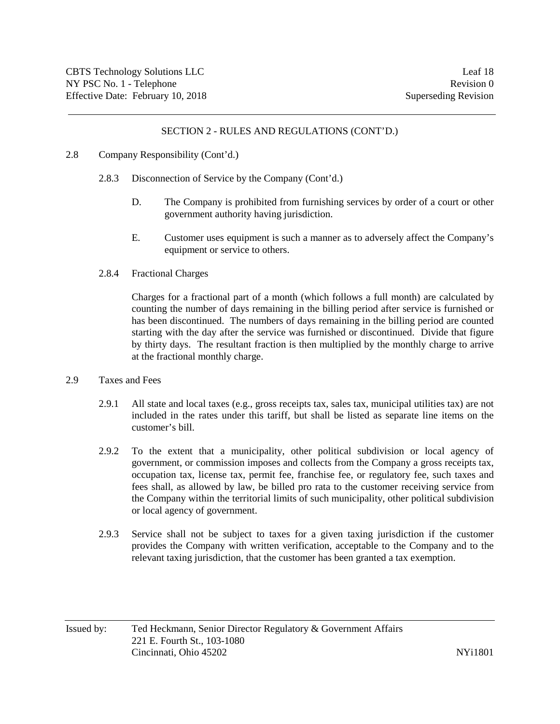### 2.8 Company Responsibility (Cont'd.)

- 2.8.3 Disconnection of Service by the Company (Cont'd.)
	- D. The Company is prohibited from furnishing services by order of a court or other government authority having jurisdiction.
	- E. Customer uses equipment is such a manner as to adversely affect the Company's equipment or service to others.
- 2.8.4 Fractional Charges

Charges for a fractional part of a month (which follows a full month) are calculated by counting the number of days remaining in the billing period after service is furnished or has been discontinued. The numbers of days remaining in the billing period are counted starting with the day after the service was furnished or discontinued. Divide that figure by thirty days. The resultant fraction is then multiplied by the monthly charge to arrive at the fractional monthly charge.

- 2.9 Taxes and Fees
	- 2.9.1 All state and local taxes (e.g., gross receipts tax, sales tax, municipal utilities tax) are not included in the rates under this tariff, but shall be listed as separate line items on the customer's bill.
	- 2.9.2 To the extent that a municipality, other political subdivision or local agency of government, or commission imposes and collects from the Company a gross receipts tax, occupation tax, license tax, permit fee, franchise fee, or regulatory fee, such taxes and fees shall, as allowed by law, be billed pro rata to the customer receiving service from the Company within the territorial limits of such municipality, other political subdivision or local agency of government.
	- 2.9.3 Service shall not be subject to taxes for a given taxing jurisdiction if the customer provides the Company with written verification, acceptable to the Company and to the relevant taxing jurisdiction, that the customer has been granted a tax exemption.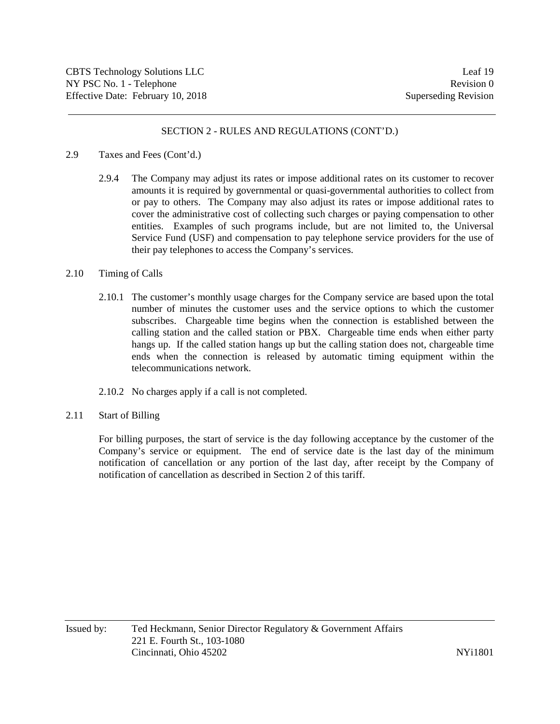### 2.9 Taxes and Fees (Cont'd.)

2.9.4 The Company may adjust its rates or impose additional rates on its customer to recover amounts it is required by governmental or quasi-governmental authorities to collect from or pay to others. The Company may also adjust its rates or impose additional rates to cover the administrative cost of collecting such charges or paying compensation to other entities. Examples of such programs include, but are not limited to, the Universal Service Fund (USF) and compensation to pay telephone service providers for the use of their pay telephones to access the Company's services.

#### 2.10 Timing of Calls

- 2.10.1 The customer's monthly usage charges for the Company service are based upon the total number of minutes the customer uses and the service options to which the customer subscribes. Chargeable time begins when the connection is established between the calling station and the called station or PBX. Chargeable time ends when either party hangs up. If the called station hangs up but the calling station does not, chargeable time ends when the connection is released by automatic timing equipment within the telecommunications network.
- 2.10.2 No charges apply if a call is not completed.
- 2.11 Start of Billing

For billing purposes, the start of service is the day following acceptance by the customer of the Company's service or equipment. The end of service date is the last day of the minimum notification of cancellation or any portion of the last day, after receipt by the Company of notification of cancellation as described in Section 2 of this tariff.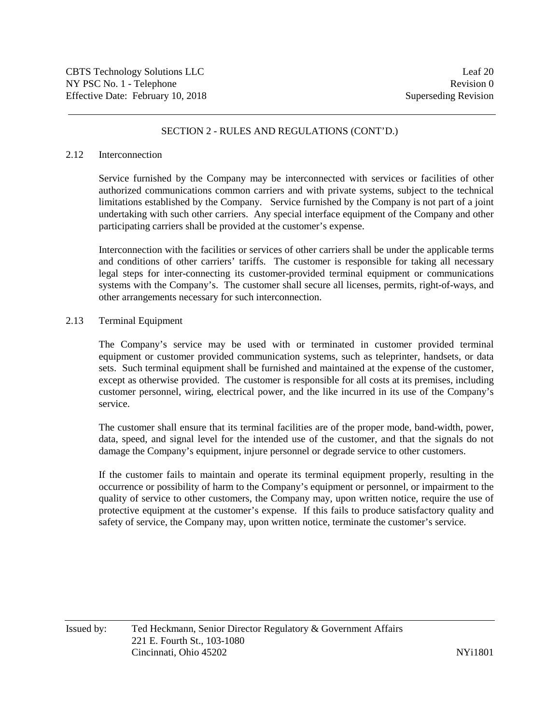#### 2.12 Interconnection

Service furnished by the Company may be interconnected with services or facilities of other authorized communications common carriers and with private systems, subject to the technical limitations established by the Company. Service furnished by the Company is not part of a joint undertaking with such other carriers. Any special interface equipment of the Company and other participating carriers shall be provided at the customer's expense.

Interconnection with the facilities or services of other carriers shall be under the applicable terms and conditions of other carriers' tariffs. The customer is responsible for taking all necessary legal steps for inter-connecting its customer-provided terminal equipment or communications systems with the Company's. The customer shall secure all licenses, permits, right-of-ways, and other arrangements necessary for such interconnection.

### 2.13 Terminal Equipment

The Company's service may be used with or terminated in customer provided terminal equipment or customer provided communication systems, such as teleprinter, handsets, or data sets. Such terminal equipment shall be furnished and maintained at the expense of the customer, except as otherwise provided. The customer is responsible for all costs at its premises, including customer personnel, wiring, electrical power, and the like incurred in its use of the Company's service.

The customer shall ensure that its terminal facilities are of the proper mode, band-width, power, data, speed, and signal level for the intended use of the customer, and that the signals do not damage the Company's equipment, injure personnel or degrade service to other customers.

If the customer fails to maintain and operate its terminal equipment properly, resulting in the occurrence or possibility of harm to the Company's equipment or personnel, or impairment to the quality of service to other customers, the Company may, upon written notice, require the use of protective equipment at the customer's expense. If this fails to produce satisfactory quality and safety of service, the Company may, upon written notice, terminate the customer's service.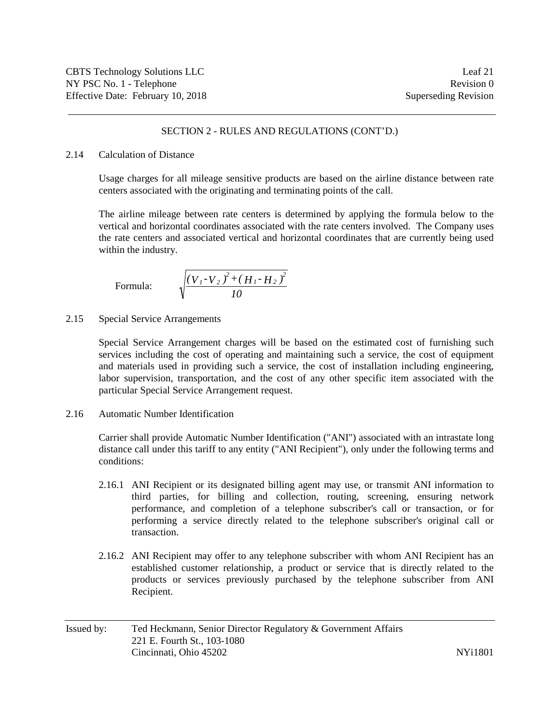#### 2.14 Calculation of Distance

Usage charges for all mileage sensitive products are based on the airline distance between rate centers associated with the originating and terminating points of the call.

The airline mileage between rate centers is determined by applying the formula below to the vertical and horizontal coordinates associated with the rate centers involved. The Company uses the rate centers and associated vertical and horizontal coordinates that are currently being used within the industry.

Formula:

$$
\sqrt{\frac{(V_{1}-V_{2})^{2}+(H_{1}-H_{2})^{2}}{10}}
$$

2.15 Special Service Arrangements

Special Service Arrangement charges will be based on the estimated cost of furnishing such services including the cost of operating and maintaining such a service, the cost of equipment and materials used in providing such a service, the cost of installation including engineering, labor supervision, transportation, and the cost of any other specific item associated with the particular Special Service Arrangement request.

2.16 Automatic Number Identification

Carrier shall provide Automatic Number Identification ("ANI") associated with an intrastate long distance call under this tariff to any entity ("ANI Recipient"), only under the following terms and conditions:

- 2.16.1 ANI Recipient or its designated billing agent may use, or transmit ANI information to third parties, for billing and collection, routing, screening, ensuring network performance, and completion of a telephone subscriber's call or transaction, or for performing a service directly related to the telephone subscriber's original call or transaction.
- 2.16.2 ANI Recipient may offer to any telephone subscriber with whom ANI Recipient has an established customer relationship, a product or service that is directly related to the products or services previously purchased by the telephone subscriber from ANI Recipient.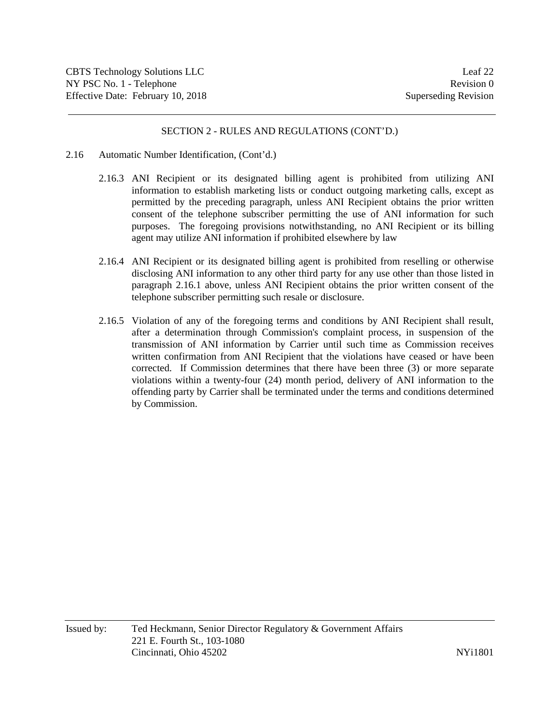- 2.16 Automatic Number Identification, (Cont'd.)
	- 2.16.3 ANI Recipient or its designated billing agent is prohibited from utilizing ANI information to establish marketing lists or conduct outgoing marketing calls, except as permitted by the preceding paragraph, unless ANI Recipient obtains the prior written consent of the telephone subscriber permitting the use of ANI information for such purposes. The foregoing provisions notwithstanding, no ANI Recipient or its billing agent may utilize ANI information if prohibited elsewhere by law
	- 2.16.4 ANI Recipient or its designated billing agent is prohibited from reselling or otherwise disclosing ANI information to any other third party for any use other than those listed in paragraph 2.16.1 above, unless ANI Recipient obtains the prior written consent of the telephone subscriber permitting such resale or disclosure.
	- 2.16.5 Violation of any of the foregoing terms and conditions by ANI Recipient shall result, after a determination through Commission's complaint process, in suspension of the transmission of ANI information by Carrier until such time as Commission receives written confirmation from ANI Recipient that the violations have ceased or have been corrected. If Commission determines that there have been three (3) or more separate violations within a twenty-four (24) month period, delivery of ANI information to the offending party by Carrier shall be terminated under the terms and conditions determined by Commission.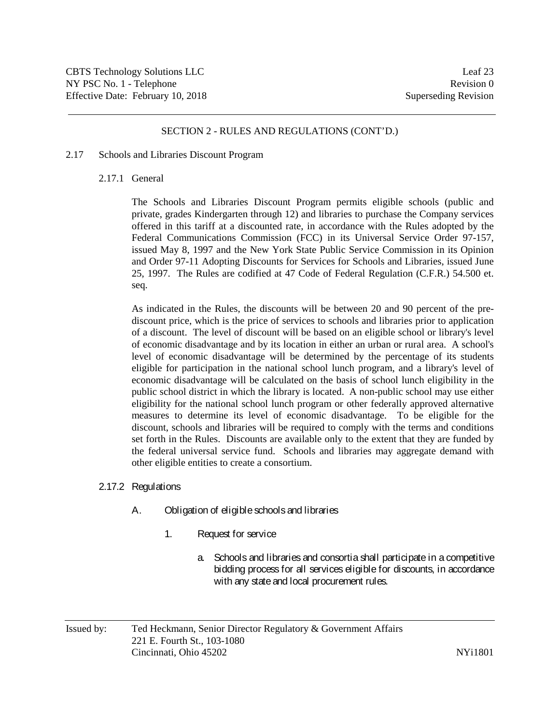### 2.17 Schools and Libraries Discount Program

### 2.17.1 General

The Schools and Libraries Discount Program permits eligible schools (public and private, grades Kindergarten through 12) and libraries to purchase the Company services offered in this tariff at a discounted rate, in accordance with the Rules adopted by the Federal Communications Commission (FCC) in its Universal Service Order 97-157, issued May 8, 1997 and the New York State Public Service Commission in its Opinion and Order 97-11 Adopting Discounts for Services for Schools and Libraries, issued June 25, 1997. The Rules are codified at 47 Code of Federal Regulation (C.F.R.) 54.500 et. seq.

As indicated in the Rules, the discounts will be between 20 and 90 percent of the prediscount price, which is the price of services to schools and libraries prior to application of a discount. The level of discount will be based on an eligible school or library's level of economic disadvantage and by its location in either an urban or rural area. A school's level of economic disadvantage will be determined by the percentage of its students eligible for participation in the national school lunch program, and a library's level of economic disadvantage will be calculated on the basis of school lunch eligibility in the public school district in which the library is located. A non-public school may use either eligibility for the national school lunch program or other federally approved alternative measures to determine its level of economic disadvantage. To be eligible for the discount, schools and libraries will be required to comply with the terms and conditions set forth in the Rules. Discounts are available only to the extent that they are funded by the federal universal service fund. Schools and libraries may aggregate demand with other eligible entities to create a consortium.

### 2.17.2 Regulations

- A. Obligation of eligible schools and libraries
	- 1. Request for service
		- a. Schools and libraries and consortia shall participate in a competitive bidding process for all services eligible for discounts, in accordance with any state and local procurement rules.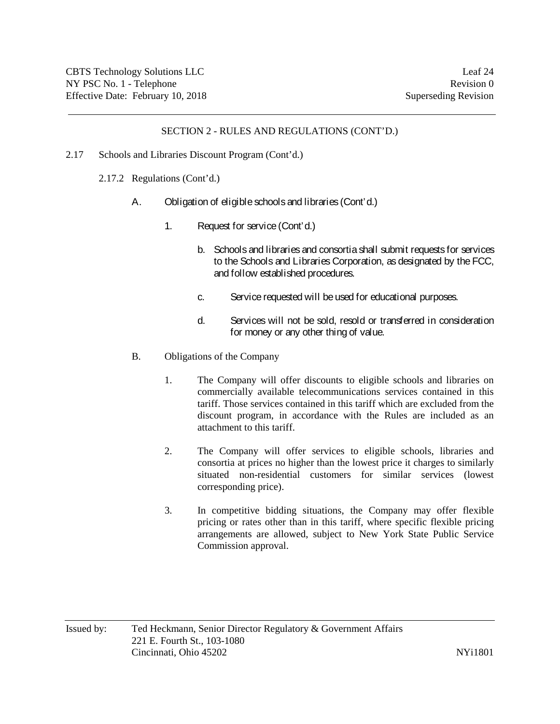- 2.17 Schools and Libraries Discount Program (Cont'd.)
	- 2.17.2 Regulations (Cont'd.)
		- A. Obligation of eligible schools and libraries (Cont'd.)
			- 1. Request for service (Cont'd.)
				- b. Schools and libraries and consortia shall submit requests for services to the Schools and Libraries Corporation, as designated by the FCC, and follow established procedures.
				- c. Service requested will be used for educational purposes.
				- d. Services will not be sold, resold or transferred in consideration for money or any other thing of value.
		- B. Obligations of the Company
			- 1. The Company will offer discounts to eligible schools and libraries on commercially available telecommunications services contained in this tariff. Those services contained in this tariff which are excluded from the discount program, in accordance with the Rules are included as an attachment to this tariff.
			- 2. The Company will offer services to eligible schools, libraries and consortia at prices no higher than the lowest price it charges to similarly situated non-residential customers for similar services (lowest corresponding price).
			- 3. In competitive bidding situations, the Company may offer flexible pricing or rates other than in this tariff, where specific flexible pricing arrangements are allowed, subject to New York State Public Service Commission approval.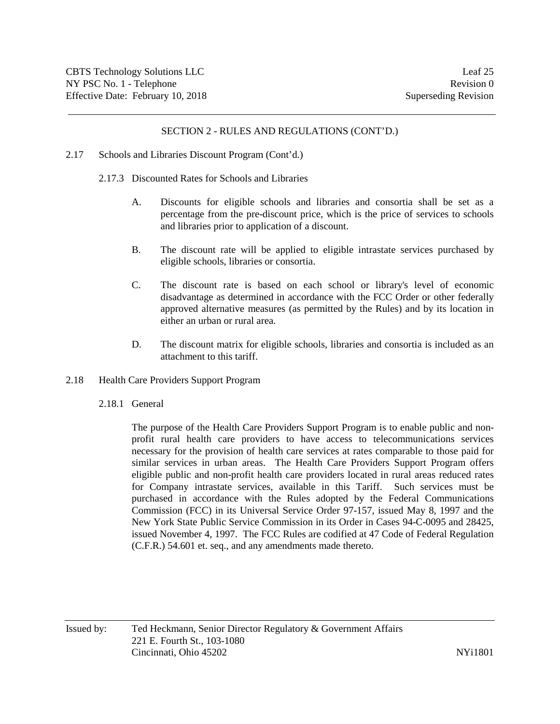## 2.17 Schools and Libraries Discount Program (Cont'd.)

- 2.17.3 Discounted Rates for Schools and Libraries
	- A. Discounts for eligible schools and libraries and consortia shall be set as a percentage from the pre-discount price, which is the price of services to schools and libraries prior to application of a discount.
	- B. The discount rate will be applied to eligible intrastate services purchased by eligible schools, libraries or consortia.
	- C. The discount rate is based on each school or library's level of economic disadvantage as determined in accordance with the FCC Order or other federally approved alternative measures (as permitted by the Rules) and by its location in either an urban or rural area.
	- D. The discount matrix for eligible schools, libraries and consortia is included as an attachment to this tariff.
- 2.18 Health Care Providers Support Program
	- 2.18.1 General

The purpose of the Health Care Providers Support Program is to enable public and nonprofit rural health care providers to have access to telecommunications services necessary for the provision of health care services at rates comparable to those paid for similar services in urban areas. The Health Care Providers Support Program offers eligible public and non-profit health care providers located in rural areas reduced rates for Company intrastate services, available in this Tariff. Such services must be purchased in accordance with the Rules adopted by the Federal Communications Commission (FCC) in its Universal Service Order 97-157, issued May 8, 1997 and the New York State Public Service Commission in its Order in Cases 94-C-0095 and 28425, issued November 4, 1997. The FCC Rules are codified at 47 Code of Federal Regulation (C.F.R.) 54.601 et. seq., and any amendments made thereto.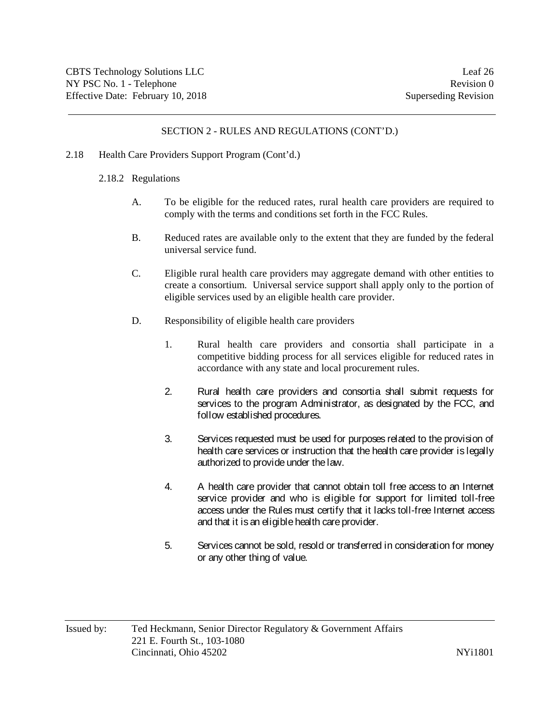- 2.18 Health Care Providers Support Program (Cont'd.)
	- 2.18.2 Regulations
		- A. To be eligible for the reduced rates, rural health care providers are required to comply with the terms and conditions set forth in the FCC Rules.
		- B. Reduced rates are available only to the extent that they are funded by the federal universal service fund.
		- C. Eligible rural health care providers may aggregate demand with other entities to create a consortium. Universal service support shall apply only to the portion of eligible services used by an eligible health care provider.
		- D. Responsibility of eligible health care providers
			- 1. Rural health care providers and consortia shall participate in a competitive bidding process for all services eligible for reduced rates in accordance with any state and local procurement rules.
			- 2. Rural health care providers and consortia shall submit requests for services to the program Administrator, as designated by the FCC, and follow established procedures.
			- 3. Services requested must be used for purposes related to the provision of health care services or instruction that the health care provider is legally authorized to provide under the law.
			- 4. A health care provider that cannot obtain toll free access to an Internet service provider and who is eligible for support for limited toll-free access under the Rules must certify that it lacks toll-free Internet access and that it is an eligible health care provider.
			- 5. Services cannot be sold, resold or transferred in consideration for money or any other thing of value.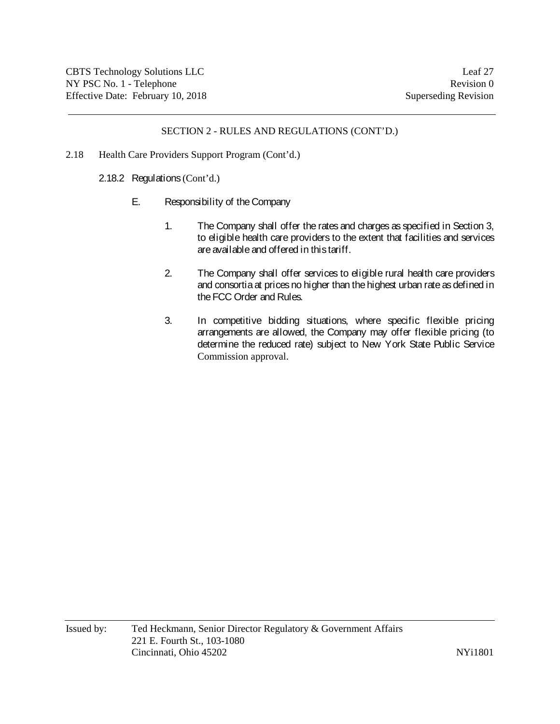- 2.18 Health Care Providers Support Program (Cont'd.)
	- 2.18.2 Regulations (Cont'd.)
		- E. Responsibility of the Company
			- 1. The Company shall offer the rates and charges as specified in Section 3, to eligible health care providers to the extent that facilities and services are available and offered in this tariff.
			- 2. The Company shall offer services to eligible rural health care providers and consortia at prices no higher than the highest urban rate as defined in the FCC Order and Rules.
			- 3. In competitive bidding situations, where specific flexible pricing arrangements are allowed, the Company may offer flexible pricing (to determine the reduced rate) subject to New York State Public Service Commission approval.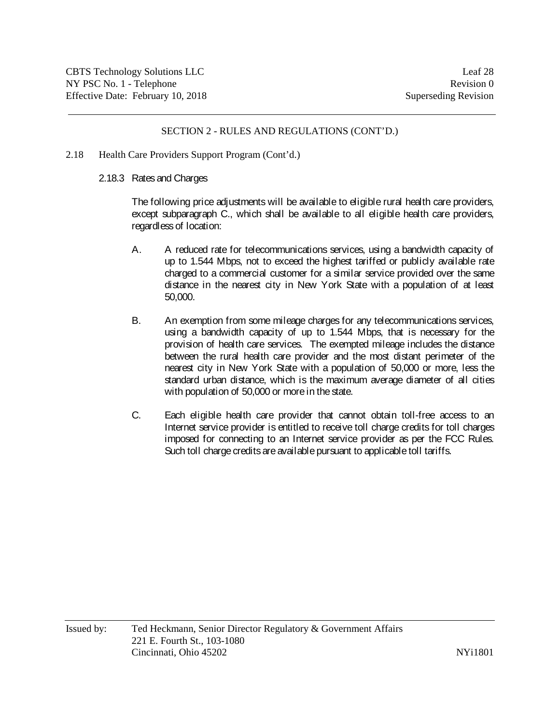- 2.18 Health Care Providers Support Program (Cont'd.)
	- 2.18.3 Rates and Charges

The following price adjustments will be available to eligible rural health care providers, except subparagraph C., which shall be available to all eligible health care providers, regardless of location:

- A. A reduced rate for telecommunications services, using a bandwidth capacity of up to 1.544 Mbps, not to exceed the highest tariffed or publicly available rate charged to a commercial customer for a similar service provided over the same distance in the nearest city in New York State with a population of at least 50,000.
- B. An exemption from some mileage charges for any telecommunications services, using a bandwidth capacity of up to 1.544 Mbps, that is necessary for the provision of health care services. The exempted mileage includes the distance between the rural health care provider and the most distant perimeter of the nearest city in New York State with a population of 50,000 or more, less the standard urban distance, which is the maximum average diameter of all cities with population of 50,000 or more in the state.
- C. Each eligible health care provider that cannot obtain toll-free access to an Internet service provider is entitled to receive toll charge credits for toll charges imposed for connecting to an Internet service provider as per the FCC Rules. Such toll charge credits are available pursuant to applicable toll tariffs.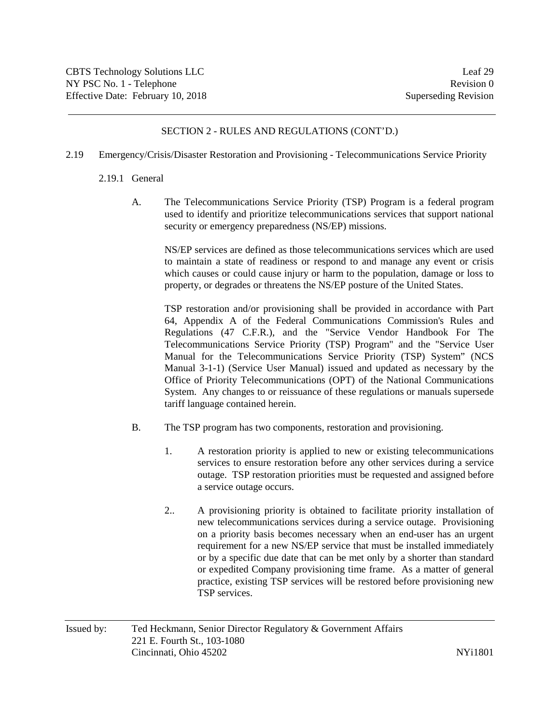- 2.19 Emergency/Crisis/Disaster Restoration and Provisioning Telecommunications Service Priority
	- 2.19.1 General
		- A. The Telecommunications Service Priority (TSP) Program is a federal program used to identify and prioritize telecommunications services that support national security or emergency preparedness (NS/EP) missions.

NS/EP services are defined as those telecommunications services which are used to maintain a state of readiness or respond to and manage any event or crisis which causes or could cause injury or harm to the population, damage or loss to property, or degrades or threatens the NS/EP posture of the United States.

TSP restoration and/or provisioning shall be provided in accordance with Part 64, Appendix A of the Federal Communications Commission's Rules and Regulations (47 C.F.R.), and the "Service Vendor Handbook For The Telecommunications Service Priority (TSP) Program" and the "Service User Manual for the Telecommunications Service Priority (TSP) System" (NCS Manual 3-1-1) (Service User Manual) issued and updated as necessary by the Office of Priority Telecommunications (OPT) of the National Communications System. Any changes to or reissuance of these regulations or manuals supersede tariff language contained herein.

- B. The TSP program has two components, restoration and provisioning.
	- 1. A restoration priority is applied to new or existing telecommunications services to ensure restoration before any other services during a service outage. TSP restoration priorities must be requested and assigned before a service outage occurs.
	- 2.. A provisioning priority is obtained to facilitate priority installation of new telecommunications services during a service outage. Provisioning on a priority basis becomes necessary when an end-user has an urgent requirement for a new NS/EP service that must be installed immediately or by a specific due date that can be met only by a shorter than standard or expedited Company provisioning time frame. As a matter of general practice, existing TSP services will be restored before provisioning new TSP services.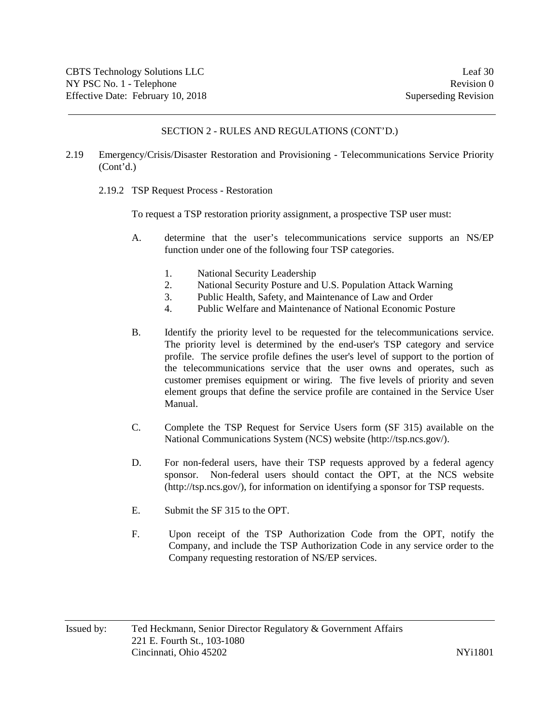- 2.19 Emergency/Crisis/Disaster Restoration and Provisioning Telecommunications Service Priority (Cont'd.)
	- 2.19.2 TSP Request Process Restoration

To request a TSP restoration priority assignment, a prospective TSP user must:

- A. determine that the user's telecommunications service supports an NS/EP function under one of the following four TSP categories.
	- 1. National Security Leadership
	- 2. National Security Posture and U.S. Population Attack Warning
	- 3. Public Health, Safety, and Maintenance of Law and Order
	- 4. Public Welfare and Maintenance of National Economic Posture
- B. Identify the priority level to be requested for the telecommunications service. The priority level is determined by the end-user's TSP category and service profile. The service profile defines the user's level of support to the portion of the telecommunications service that the user owns and operates, such as customer premises equipment or wiring. The five levels of priority and seven element groups that define the service profile are contained in the Service User Manual.
- C. Complete the TSP Request for Service Users form (SF 315) available on the National Communications System (NCS) website (http://tsp.ncs.gov/).
- D. For non-federal users, have their TSP requests approved by a federal agency sponsor. Non-federal users should contact the OPT, at the NCS website (http://tsp.ncs.gov/), for information on identifying a sponsor for TSP requests.
- E. Submit the SF 315 to the OPT.
- F. Upon receipt of the TSP Authorization Code from the OPT, notify the Company, and include the TSP Authorization Code in any service order to the Company requesting restoration of NS/EP services.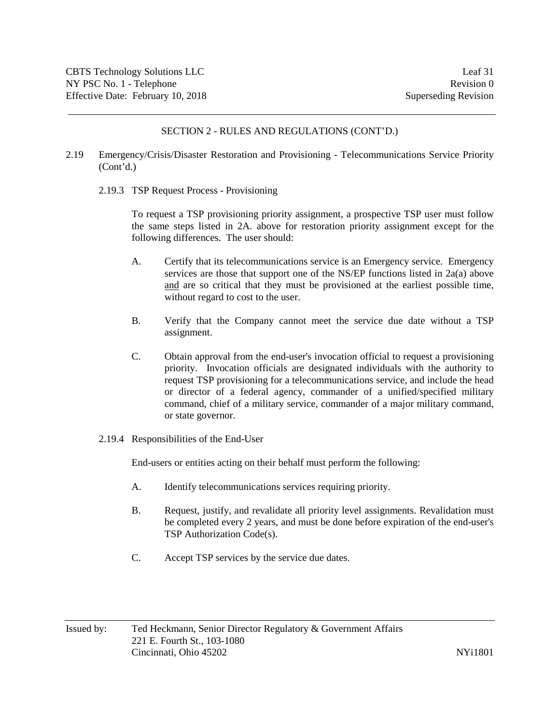- 2.19 Emergency/Crisis/Disaster Restoration and Provisioning Telecommunications Service Priority (Cont'd.)
	- 2.19.3 TSP Request Process Provisioning

To request a TSP provisioning priority assignment, a prospective TSP user must follow the same steps listed in 2A. above for restoration priority assignment except for the following differences. The user should:

- A. Certify that its telecommunications service is an Emergency service. Emergency services are those that support one of the NS/EP functions listed in 2a(a) above and are so critical that they must be provisioned at the earliest possible time, without regard to cost to the user.
- B. Verify that the Company cannot meet the service due date without a TSP assignment.
- C. Obtain approval from the end-user's invocation official to request a provisioning priority. Invocation officials are designated individuals with the authority to request TSP provisioning for a telecommunications service, and include the head or director of a federal agency, commander of a unified/specified military command, chief of a military service, commander of a major military command, or state governor.
- 2.19.4 Responsibilities of the End-User

End-users or entities acting on their behalf must perform the following:

- A. Identify telecommunications services requiring priority.
- B. Request, justify, and revalidate all priority level assignments. Revalidation must be completed every 2 years, and must be done before expiration of the end-user's TSP Authorization Code(s).
- C. Accept TSP services by the service due dates.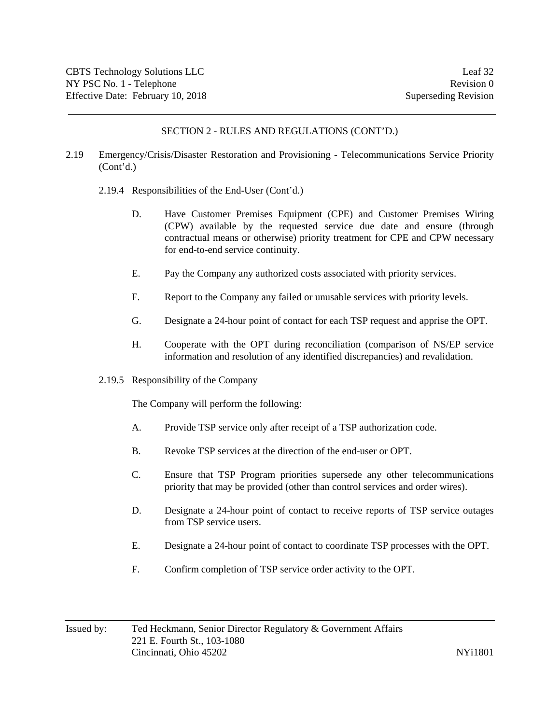- 2.19 Emergency/Crisis/Disaster Restoration and Provisioning Telecommunications Service Priority (Cont'd.)
	- 2.19.4 Responsibilities of the End-User (Cont'd.)
		- D. Have Customer Premises Equipment (CPE) and Customer Premises Wiring (CPW) available by the requested service due date and ensure (through contractual means or otherwise) priority treatment for CPE and CPW necessary for end-to-end service continuity.
		- E. Pay the Company any authorized costs associated with priority services.
		- F. Report to the Company any failed or unusable services with priority levels.
		- G. Designate a 24-hour point of contact for each TSP request and apprise the OPT.
		- H. Cooperate with the OPT during reconciliation (comparison of NS/EP service information and resolution of any identified discrepancies) and revalidation.
	- 2.19.5 Responsibility of the Company

The Company will perform the following:

- A. Provide TSP service only after receipt of a TSP authorization code.
- B. Revoke TSP services at the direction of the end-user or OPT.
- C. Ensure that TSP Program priorities supersede any other telecommunications priority that may be provided (other than control services and order wires).
- D. Designate a 24-hour point of contact to receive reports of TSP service outages from TSP service users.
- E. Designate a 24-hour point of contact to coordinate TSP processes with the OPT.
- F. Confirm completion of TSP service order activity to the OPT.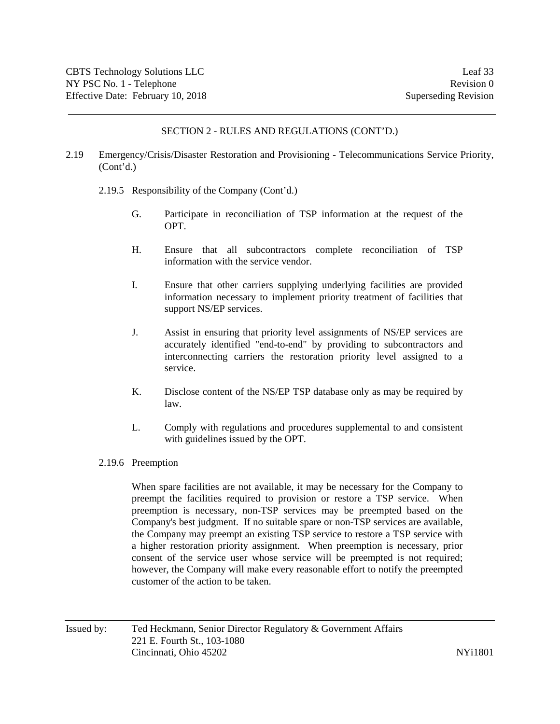- 2.19 Emergency/Crisis/Disaster Restoration and Provisioning Telecommunications Service Priority, (Cont'd.)
	- 2.19.5 Responsibility of the Company (Cont'd.)
		- G. Participate in reconciliation of TSP information at the request of the OPT.
		- H. Ensure that all subcontractors complete reconciliation of TSP information with the service vendor.
		- I. Ensure that other carriers supplying underlying facilities are provided information necessary to implement priority treatment of facilities that support NS/EP services.
		- J. Assist in ensuring that priority level assignments of NS/EP services are accurately identified "end-to-end" by providing to subcontractors and interconnecting carriers the restoration priority level assigned to a service.
		- K. Disclose content of the NS/EP TSP database only as may be required by law.
		- L. Comply with regulations and procedures supplemental to and consistent with guidelines issued by the OPT.
	- 2.19.6 Preemption

When spare facilities are not available, it may be necessary for the Company to preempt the facilities required to provision or restore a TSP service. When preemption is necessary, non-TSP services may be preempted based on the Company's best judgment. If no suitable spare or non-TSP services are available, the Company may preempt an existing TSP service to restore a TSP service with a higher restoration priority assignment. When preemption is necessary, prior consent of the service user whose service will be preempted is not required; however, the Company will make every reasonable effort to notify the preempted customer of the action to be taken.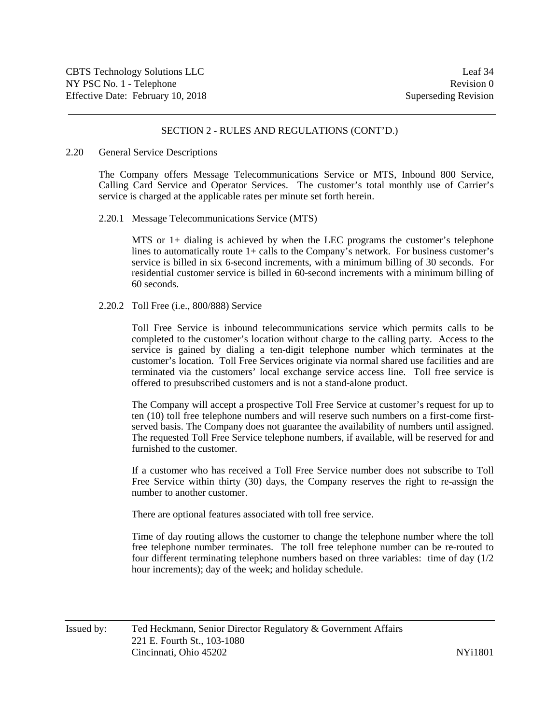#### 2.20 General Service Descriptions

The Company offers Message Telecommunications Service or MTS, Inbound 800 Service, Calling Card Service and Operator Services. The customer's total monthly use of Carrier's service is charged at the applicable rates per minute set forth herein.

#### 2.20.1 Message Telecommunications Service (MTS)

MTS or 1+ dialing is achieved by when the LEC programs the customer's telephone lines to automatically route 1+ calls to the Company's network. For business customer's service is billed in six 6-second increments, with a minimum billing of 30 seconds. For residential customer service is billed in 60-second increments with a minimum billing of 60 seconds.

#### 2.20.2 Toll Free (i.e., 800/888) Service

Toll Free Service is inbound telecommunications service which permits calls to be completed to the customer's location without charge to the calling party. Access to the service is gained by dialing a ten-digit telephone number which terminates at the customer's location. Toll Free Services originate via normal shared use facilities and are terminated via the customers' local exchange service access line. Toll free service is offered to presubscribed customers and is not a stand-alone product.

The Company will accept a prospective Toll Free Service at customer's request for up to ten (10) toll free telephone numbers and will reserve such numbers on a first-come firstserved basis. The Company does not guarantee the availability of numbers until assigned. The requested Toll Free Service telephone numbers, if available, will be reserved for and furnished to the customer.

If a customer who has received a Toll Free Service number does not subscribe to Toll Free Service within thirty (30) days, the Company reserves the right to re-assign the number to another customer.

There are optional features associated with toll free service.

Time of day routing allows the customer to change the telephone number where the toll free telephone number terminates. The toll free telephone number can be re-routed to four different terminating telephone numbers based on three variables: time of day (1/2 hour increments); day of the week; and holiday schedule.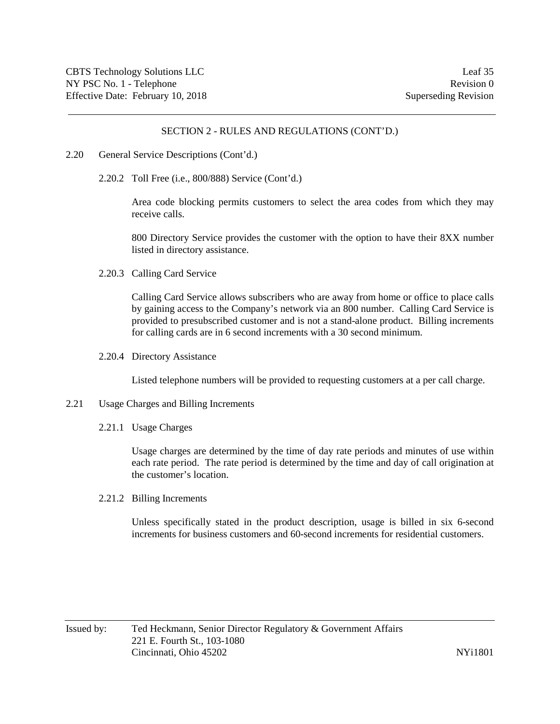- 2.20 General Service Descriptions (Cont'd.)
	- 2.20.2 Toll Free (i.e., 800/888) Service (Cont'd.)

Area code blocking permits customers to select the area codes from which they may receive calls.

800 Directory Service provides the customer with the option to have their 8XX number listed in directory assistance.

2.20.3 Calling Card Service

Calling Card Service allows subscribers who are away from home or office to place calls by gaining access to the Company's network via an 800 number. Calling Card Service is provided to presubscribed customer and is not a stand-alone product. Billing increments for calling cards are in 6 second increments with a 30 second minimum.

2.20.4 Directory Assistance

Listed telephone numbers will be provided to requesting customers at a per call charge.

- 2.21 Usage Charges and Billing Increments
	- 2.21.1 Usage Charges

Usage charges are determined by the time of day rate periods and minutes of use within each rate period. The rate period is determined by the time and day of call origination at the customer's location.

2.21.2 Billing Increments

Unless specifically stated in the product description, usage is billed in six 6-second increments for business customers and 60-second increments for residential customers.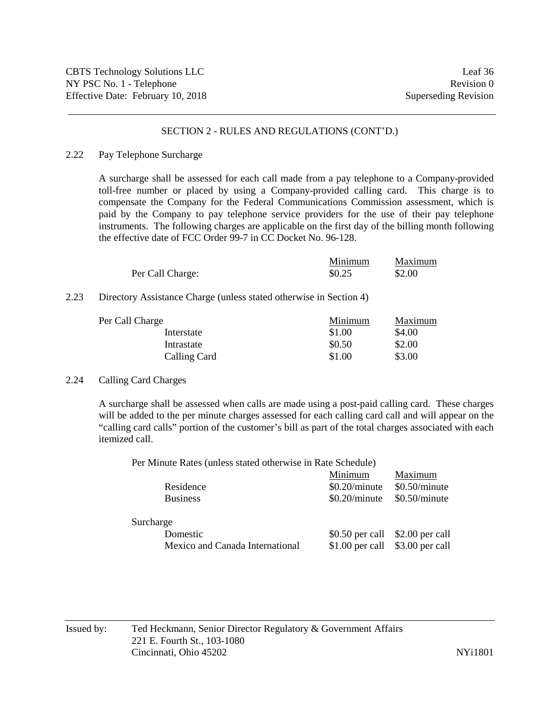#### 2.22 Pay Telephone Surcharge

A surcharge shall be assessed for each call made from a pay telephone to a Company-provided toll-free number or placed by using a Company-provided calling card. This charge is to compensate the Company for the Federal Communications Commission assessment, which is paid by the Company to pay telephone service providers for the use of their pay telephone instruments. The following charges are applicable on the first day of the billing month following the effective date of FCC Order 99-7 in CC Docket No. 96-128.

|                  | Minimum | Maximum |
|------------------|---------|---------|
| Per Call Charge: | \$0.25  | \$2.00  |

### 2.23 Directory Assistance Charge (unless stated otherwise in Section 4)

| Per Call Charge | Minimum | Maximum |
|-----------------|---------|---------|
| Interstate      | \$1.00  | \$4.00  |
| Intrastate      | \$0.50  | \$2.00  |
| Calling Card    | \$1.00  | \$3.00  |

## 2.24 Calling Card Charges

A surcharge shall be assessed when calls are made using a post-paid calling card. These charges will be added to the per minute charges assessed for each calling card call and will appear on the "calling card calls" portion of the customer's bill as part of the total charges associated with each itemized call.

Per Minute Rates (unless stated otherwise in Rate Schedule)

|                                 | Minimum          | Maximum         |
|---------------------------------|------------------|-----------------|
| Residence                       | $$0.20/m$ inute  | $$0.50/m$ inute |
| <b>Business</b>                 | $$0.20/m$ inute  | \$0.50/minute   |
| Surcharge                       |                  |                 |
| Domestic                        | $$0.50$ per call | \$2.00 per call |
| Mexico and Canada International | $$1.00$ per call | \$3.00 per call |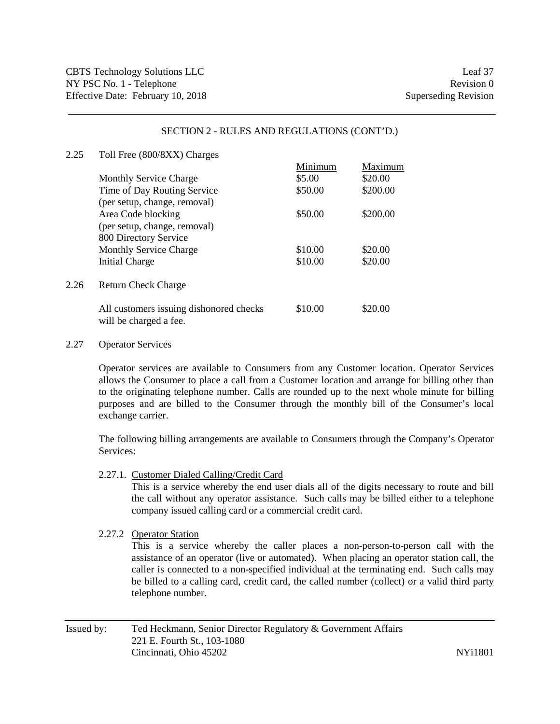| 2.25 | Toll Free (800/8XX) Charges                                       |         |          |
|------|-------------------------------------------------------------------|---------|----------|
|      |                                                                   | Minimum | Maximum  |
|      | <b>Monthly Service Charge</b>                                     | \$5.00  | \$20.00  |
|      | Time of Day Routing Service                                       | \$50.00 | \$200.00 |
|      | (per setup, change, removal)                                      |         |          |
|      | Area Code blocking                                                | \$50.00 | \$200.00 |
|      | (per setup, change, removal)                                      |         |          |
|      | 800 Directory Service                                             |         |          |
|      | <b>Monthly Service Charge</b>                                     | \$10.00 | \$20.00  |
|      | <b>Initial Charge</b>                                             | \$10.00 | \$20.00  |
| 2.26 | <b>Return Check Charge</b>                                        |         |          |
|      | All customers issuing dishonored checks<br>will be charged a fee. | \$10.00 | \$20.00  |

#### 2.27 Operator Services

Operator services are available to Consumers from any Customer location. Operator Services allows the Consumer to place a call from a Customer location and arrange for billing other than to the originating telephone number. Calls are rounded up to the next whole minute for billing purposes and are billed to the Consumer through the monthly bill of the Consumer's local exchange carrier.

The following billing arrangements are available to Consumers through the Company's Operator Services:

2.27.1. Customer Dialed Calling/Credit Card

This is a service whereby the end user dials all of the digits necessary to route and bill the call without any operator assistance. Such calls may be billed either to a telephone company issued calling card or a commercial credit card.

#### 2.27.2 Operator Station

This is a service whereby the caller places a non-person-to-person call with the assistance of an operator (live or automated). When placing an operator station call, the caller is connected to a non-specified individual at the terminating end. Such calls may be billed to a calling card, credit card, the called number (collect) or a valid third party telephone number.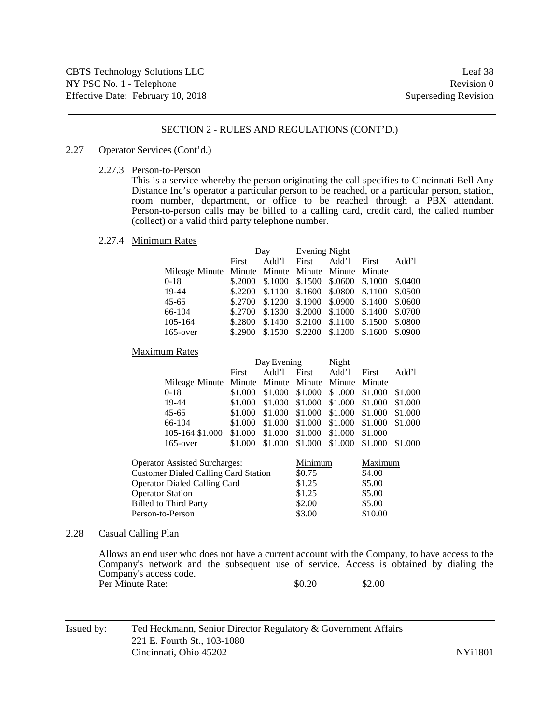#### 2.27 Operator Services (Cont'd.)

2.27.3 Person-to-Person

This is a service whereby the person originating the call specifies to Cincinnati Bell Any Distance Inc's operator a particular person to be reached, or a particular person, station, room number, department, or office to be reached through a PBX attendant. Person-to-person calls may be billed to a calling card, credit card, the called number (collect) or a valid third party telephone number.

2.27.4 Minimum Rates

|                                                   |       | Day Evening Night                               |  |       |
|---------------------------------------------------|-------|-------------------------------------------------|--|-------|
|                                                   | First | Add'l First Add'l First                         |  | Add'l |
| Mileage Minute Minute Minute Minute Minute Minute |       |                                                 |  |       |
| 0-18                                              |       | \$.2000 \$.1000 \$.1500 \$.0600 \$.1000 \$.0400 |  |       |
| 19-44                                             |       | \$.2200 \$.1100 \$.1600 \$.0800 \$.1100 \$.0500 |  |       |
| 45-65                                             |       | \$.2700 \$.1200 \$.1900 \$.0900 \$.1400 \$.0600 |  |       |
| 66-104                                            |       | \$.2700 \$.1300 \$.2000 \$.1000 \$.1400 \$.0700 |  |       |
| 105-164                                           |       | \$.2800 \$.1400 \$.2100 \$.1100 \$.1500 \$.0800 |  |       |
| $165$ -over                                       |       | \$.2900 \$.1500 \$.2200 \$.1200 \$.1600 \$.0900 |  |       |

#### Maximum Rates

| First |  |  |                                        | Add'l                                                                                                                                                                                                                                                                                                                                                                |
|-------|--|--|----------------------------------------|----------------------------------------------------------------------------------------------------------------------------------------------------------------------------------------------------------------------------------------------------------------------------------------------------------------------------------------------------------------------|
|       |  |  |                                        |                                                                                                                                                                                                                                                                                                                                                                      |
|       |  |  |                                        |                                                                                                                                                                                                                                                                                                                                                                      |
|       |  |  |                                        |                                                                                                                                                                                                                                                                                                                                                                      |
|       |  |  |                                        |                                                                                                                                                                                                                                                                                                                                                                      |
|       |  |  |                                        |                                                                                                                                                                                                                                                                                                                                                                      |
|       |  |  |                                        |                                                                                                                                                                                                                                                                                                                                                                      |
|       |  |  |                                        |                                                                                                                                                                                                                                                                                                                                                                      |
|       |  |  | Day Evening Night<br>Add'l First Add'l | First<br>Mileage Minute Minute Minute Minute Minute Minute<br>\$1.000 \$1.000 \$1.000 \$1.000 \$1.000 \$1.000<br>\$1.000 \$1.000 \$1.000 \$1.000 \$1.000 \$1.000<br>\$1.000 \$1.000 \$1.000 \$1.000 \$1.000 \$1.000<br>\$1.000 \$1.000 \$1.000 \$1.000 \$1.000 \$1.000<br>\$1.000 \$1.000 \$1.000 \$1.000 \$1.000<br>\$1.000 \$1.000 \$1.000 \$1.000 \$1.000 \$1.000 |

| <b>Operator Assisted Surcharges:</b>        | Minimum | Maximum |
|---------------------------------------------|---------|---------|
| <b>Customer Dialed Calling Card Station</b> | \$0.75  | \$4.00  |
| <b>Operator Dialed Calling Card</b>         | \$1.25  | \$5.00  |
| <b>Operator Station</b>                     | \$1.25  | \$5.00  |
| <b>Billed to Third Party</b>                | \$2.00  | \$5.00  |
| Person-to-Person                            | \$3.00  | \$10.00 |

#### 2.28 Casual Calling Plan

Allows an end user who does not have a current account with the Company, to have access to the Company's network and the subsequent use of service. Access is obtained by dialing the Company's access code. Per Minute Rate:  $$0.20$  \$2.00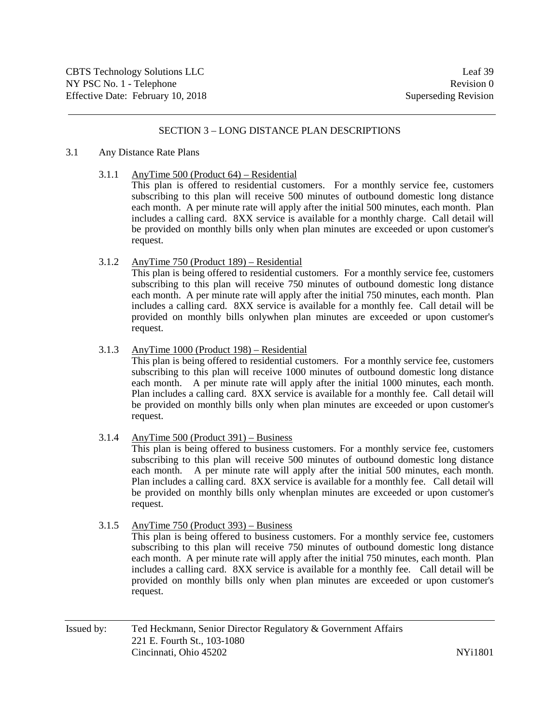### SECTION 3 – LONG DISTANCE PLAN DESCRIPTIONS

#### 3.1 Any Distance Rate Plans

3.1.1 AnyTime 500 (Product 64) – Residential

This plan is offered to residential customers. For a monthly service fee, customers subscribing to this plan will receive 500 minutes of outbound domestic long distance each month. A per minute rate will apply after the initial 500 minutes, each month. Plan includes a calling card. 8XX service is available for a monthly charge. Call detail will be provided on monthly bills only when plan minutes are exceeded or upon customer's request.

3.1.2 AnyTime 750 (Product 189) – Residential

This plan is being offered to residential customers. For a monthly service fee, customers subscribing to this plan will receive 750 minutes of outbound domestic long distance each month. A per minute rate will apply after the initial 750 minutes, each month. Plan includes a calling card. 8XX service is available for a monthly fee. Call detail will be provided on monthly bills onlywhen plan minutes are exceeded or upon customer's request.

3.1.3 AnyTime 1000 (Product 198) – Residential

This plan is being offered to residential customers. For a monthly service fee, customers subscribing to this plan will receive 1000 minutes of outbound domestic long distance each month. A per minute rate will apply after the initial 1000 minutes, each month. Plan includes a calling card. 8XX service is available for a monthly fee. Call detail will be provided on monthly bills only when plan minutes are exceeded or upon customer's request.

3.1.4 AnyTime 500 (Product 391) – Business

This plan is being offered to business customers. For a monthly service fee, customers subscribing to this plan will receive 500 minutes of outbound domestic long distance each month. A per minute rate will apply after the initial 500 minutes, each month. Plan includes a calling card. 8XX service is available for a monthly fee. Call detail will be provided on monthly bills only whenplan minutes are exceeded or upon customer's request.

3.1.5 AnyTime 750 (Product 393) – Business

This plan is being offered to business customers. For a monthly service fee, customers subscribing to this plan will receive 750 minutes of outbound domestic long distance each month. A per minute rate will apply after the initial 750 minutes, each month. Plan includes a calling card. 8XX service is available for a monthly fee. Call detail will be provided on monthly bills only when plan minutes are exceeded or upon customer's request.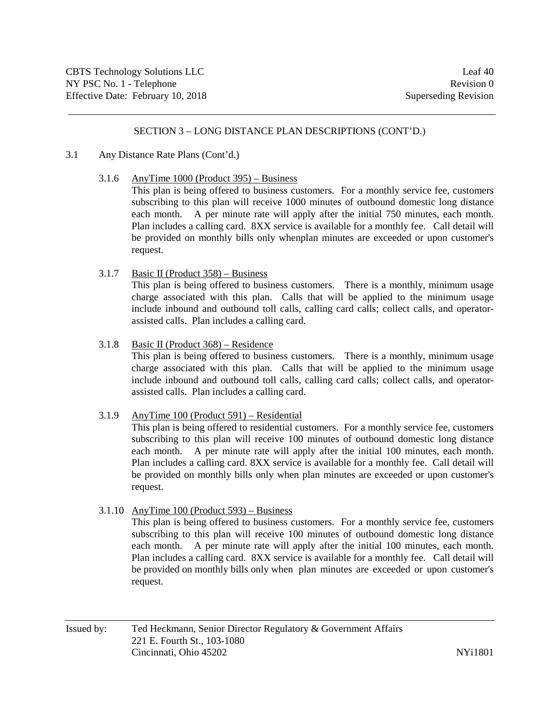### SECTION 3 – LONG DISTANCE PLAN DESCRIPTIONS (CONT'D.)

#### 3.1 Any Distance Rate Plans (Cont'd.)

3.1.6 AnyTime 1000 (Product 395) – Business

This plan is being offered to business customers. For a monthly service fee, customers subscribing to this plan will receive 1000 minutes of outbound domestic long distance each month. A per minute rate will apply after the initial 750 minutes, each month. Plan includes a calling card. 8XX service is available for a monthly fee. Call detail will be provided on monthly bills only whenplan minutes are exceeded or upon customer's request.

3.1.7 Basic II (Product 358) – Business

This plan is being offered to business customers. There is a monthly, minimum usage charge associated with this plan. Calls that will be applied to the minimum usage include inbound and outbound toll calls, calling card calls; collect calls, and operatorassisted calls. Plan includes a calling card.

3.1.8 Basic II (Product 368) – Residence

This plan is being offered to business customers. There is a monthly, minimum usage charge associated with this plan. Calls that will be applied to the minimum usage include inbound and outbound toll calls, calling card calls; collect calls, and operatorassisted calls. Plan includes a calling card.

### 3.1.9 AnyTime 100 (Product 591) – Residential

This plan is being offered to residential customers. For a monthly service fee, customers subscribing to this plan will receive 100 minutes of outbound domestic long distance each month. A per minute rate will apply after the initial 100 minutes, each month. Plan includes a calling card. 8XX service is available for a monthly fee. Call detail will be provided on monthly bills only when plan minutes are exceeded or upon customer's request.

3.1.10 AnyTime 100 (Product 593) – Business

This plan is being offered to business customers. For a monthly service fee, customers subscribing to this plan will receive 100 minutes of outbound domestic long distance each month. A per minute rate will apply after the initial 100 minutes, each month. Plan includes a calling card. 8XX service is available for a monthly fee. Call detail will be provided on monthly bills only when plan minutes are exceeded or upon customer's request.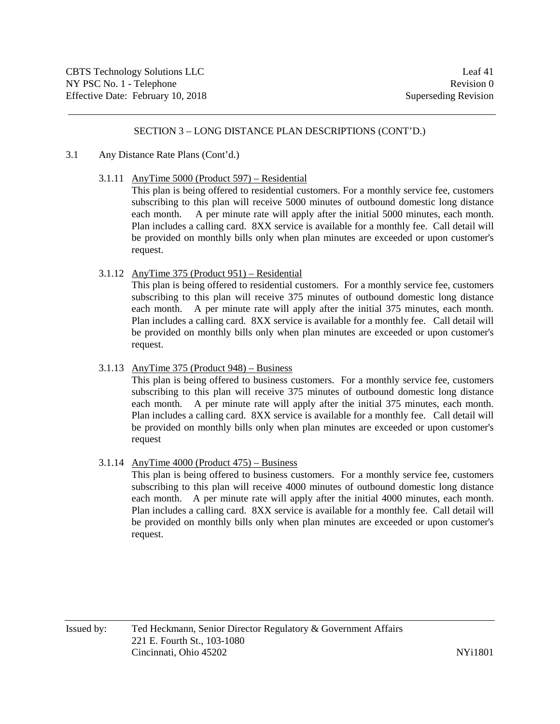### SECTION 3 – LONG DISTANCE PLAN DESCRIPTIONS (CONT'D.)

#### 3.1 Any Distance Rate Plans (Cont'd.)

3.1.11 AnyTime 5000 (Product 597) – Residential

This plan is being offered to residential customers. For a monthly service fee, customers subscribing to this plan will receive 5000 minutes of outbound domestic long distance each month. A per minute rate will apply after the initial 5000 minutes, each month. Plan includes a calling card. 8XX service is available for a monthly fee. Call detail will be provided on monthly bills only when plan minutes are exceeded or upon customer's request.

3.1.12 AnyTime 375 (Product 951) – Residential

This plan is being offered to residential customers. For a monthly service fee, customers subscribing to this plan will receive 375 minutes of outbound domestic long distance each month. A per minute rate will apply after the initial 375 minutes, each month. Plan includes a calling card. 8XX service is available for a monthly fee. Call detail will be provided on monthly bills only when plan minutes are exceeded or upon customer's request.

3.1.13 AnyTime 375 (Product 948) – Business

This plan is being offered to business customers. For a monthly service fee, customers subscribing to this plan will receive 375 minutes of outbound domestic long distance each month. A per minute rate will apply after the initial 375 minutes, each month. Plan includes a calling card. 8XX service is available for a monthly fee. Call detail will be provided on monthly bills only when plan minutes are exceeded or upon customer's request

3.1.14 AnyTime 4000 (Product 475) – Business

This plan is being offered to business customers. For a monthly service fee, customers subscribing to this plan will receive 4000 minutes of outbound domestic long distance each month. A per minute rate will apply after the initial 4000 minutes, each month. Plan includes a calling card. 8XX service is available for a monthly fee. Call detail will be provided on monthly bills only when plan minutes are exceeded or upon customer's request.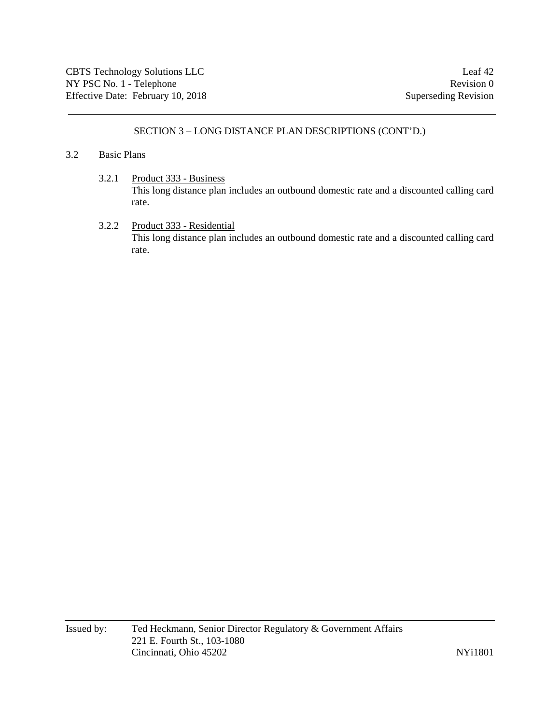## SECTION 3 – LONG DISTANCE PLAN DESCRIPTIONS (CONT'D.)

#### 3.2 Basic Plans

- 3.2.1 Product 333 Business This long distance plan includes an outbound domestic rate and a discounted calling card rate.
- 3.2.2 Product 333 Residential This long distance plan includes an outbound domestic rate and a discounted calling card rate.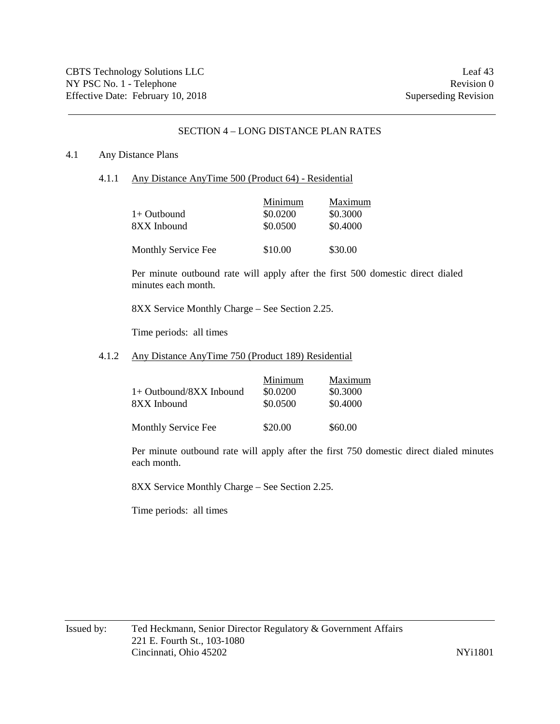### SECTION 4 – LONG DISTANCE PLAN RATES

#### 4.1 Any Distance Plans

4.1.1 Any Distance AnyTime 500 (Product 64) - Residential

| $1+$ Outbound<br>8XX Inbound | Minimum<br>\$0.0200<br>\$0.0500 | Maximum<br>\$0.3000<br>\$0.4000 |
|------------------------------|---------------------------------|---------------------------------|
| Monthly Service Fee          | \$10.00                         | \$30.00                         |

Per minute outbound rate will apply after the first 500 domestic direct dialed minutes each month.

8XX Service Monthly Charge – See Section 2.25.

Time periods: all times

#### 4.1.2 Any Distance AnyTime 750 (Product 189) Residential

| 1+ Outbound/8XX Inbound<br>8XX Inbound | Minimum<br>\$0.0200<br>\$0.0500 | Maximum<br>\$0.3000<br>\$0.4000 |
|----------------------------------------|---------------------------------|---------------------------------|
| <b>Monthly Service Fee</b>             | \$20.00                         | \$60.00                         |

Per minute outbound rate will apply after the first 750 domestic direct dialed minutes each month.

8XX Service Monthly Charge – See Section 2.25.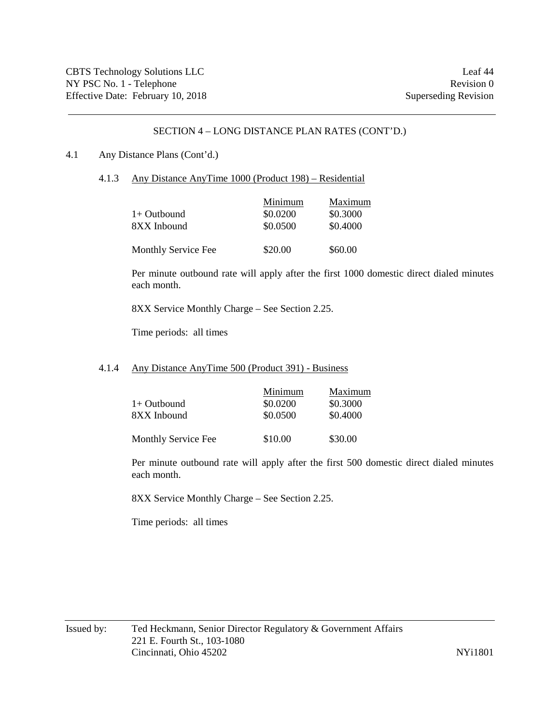#### 4.1 Any Distance Plans (Cont'd.)

4.1.3 Any Distance AnyTime 1000 (Product 198) – Residential

| $1+$ Outbound<br>8XX Inbound | Minimum<br>\$0.0200<br>\$0.0500 | Maximum<br>\$0.3000<br>\$0.4000 |
|------------------------------|---------------------------------|---------------------------------|
| Monthly Service Fee          | \$20.00                         | \$60.00                         |

Per minute outbound rate will apply after the first 1000 domestic direct dialed minutes each month.

8XX Service Monthly Charge – See Section 2.25.

Time periods: all times

#### 4.1.4 Any Distance AnyTime 500 (Product 391) - Business

| $1+$ Outbound<br>8XX Inbound | Minimum<br>\$0.0200<br>\$0.0500 | Maximum<br>\$0.3000<br>\$0.4000 |
|------------------------------|---------------------------------|---------------------------------|
| <b>Monthly Service Fee</b>   | \$10.00                         | \$30.00                         |

Per minute outbound rate will apply after the first 500 domestic direct dialed minutes each month.

8XX Service Monthly Charge – See Section 2.25.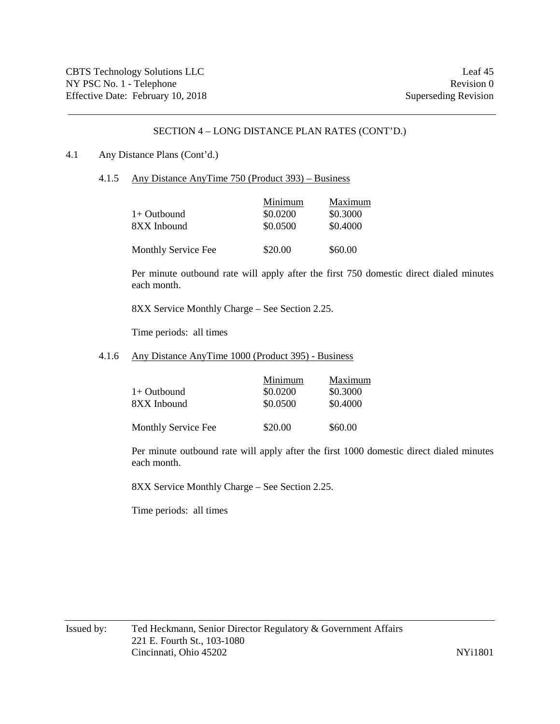#### 4.1 Any Distance Plans (Cont'd.)

4.1.5 Any Distance AnyTime 750 (Product 393) – Business

|                     | Minimum  | Maximum  |
|---------------------|----------|----------|
| $1+$ Outbound       | \$0.0200 | \$0.3000 |
| 8XX Inbound         | \$0.0500 | \$0.4000 |
|                     |          |          |
| Monthly Service Fee | \$20.00  | \$60.00  |

Per minute outbound rate will apply after the first 750 domestic direct dialed minutes each month.

8XX Service Monthly Charge – See Section 2.25.

Time periods: all times

### 4.1.6 Any Distance AnyTime 1000 (Product 395) - Business

|                     | Minimum  | Maximum  |
|---------------------|----------|----------|
| $1+$ Outbound       | \$0.0200 | \$0.3000 |
| 8XX Inbound         | \$0.0500 | \$0.4000 |
| Monthly Service Fee | \$20.00  | \$60.00  |

Per minute outbound rate will apply after the first 1000 domestic direct dialed minutes each month.

8XX Service Monthly Charge – See Section 2.25.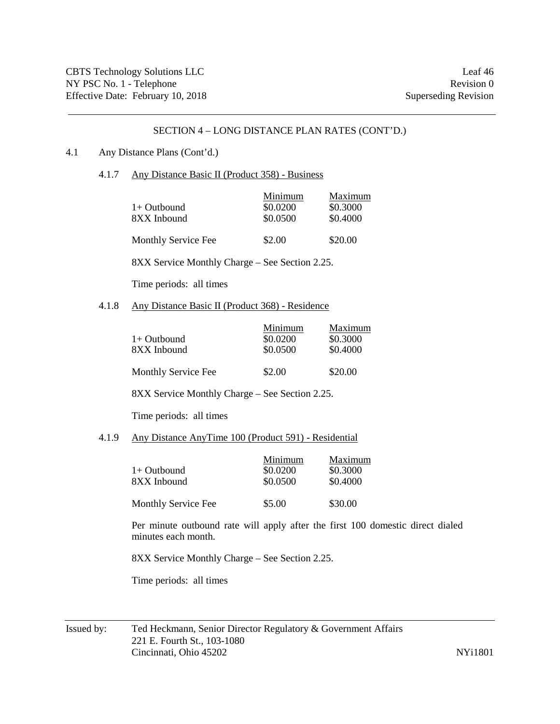### 4.1 Any Distance Plans (Cont'd.)

4.1.7 Any Distance Basic II (Product 358) - Business

| $1+$ Outbound<br>8XX Inbound | Minimum<br>\$0.0200<br>\$0.0500 | Maximum<br>\$0.3000<br>\$0.4000 |
|------------------------------|---------------------------------|---------------------------------|
| <b>Monthly Service Fee</b>   | \$2.00                          | \$20.00                         |

8XX Service Monthly Charge – See Section 2.25.

Time periods: all times

4.1.8 Any Distance Basic II (Product 368) - Residence

| $1+$ Outbound<br>8XX Inbound | Minimum<br>\$0.0200<br>\$0.0500 | Maximum<br>\$0.3000<br>\$0.4000 |
|------------------------------|---------------------------------|---------------------------------|
| Monthly Service Fee          | \$2.00                          | \$20.00                         |

8XX Service Monthly Charge – See Section 2.25.

Time periods: all times

#### 4.1.9 Any Distance AnyTime 100 (Product 591) - Residential

| $1+$ Outbound<br>8XX Inbound | Minimum<br>\$0.0200<br>\$0.0500 | Maximum<br>\$0.3000<br>\$0.4000 |
|------------------------------|---------------------------------|---------------------------------|
| Monthly Service Fee          | \$5.00                          | \$30.00                         |

Per minute outbound rate will apply after the first 100 domestic direct dialed minutes each month.

8XX Service Monthly Charge – See Section 2.25.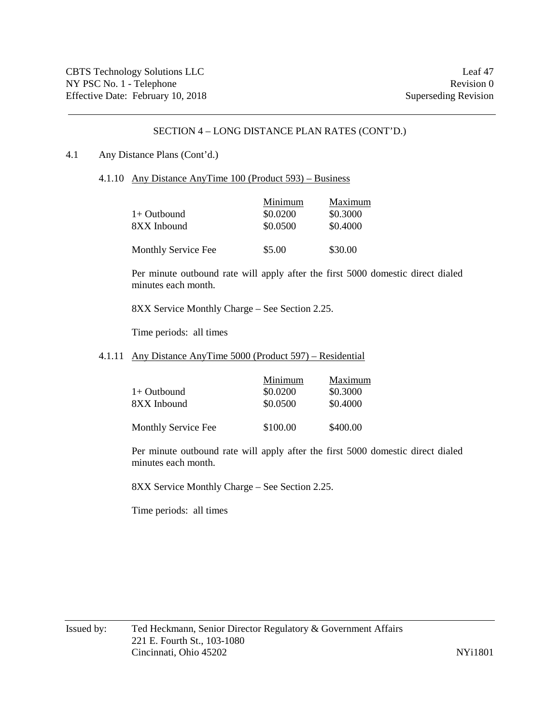#### 4.1 Any Distance Plans (Cont'd.)

4.1.10 Any Distance AnyTime 100 (Product 593) – Business

| $1+$ Outbound<br>8XX Inbound | Minimum<br>\$0.0200<br>\$0.0500 | Maximum<br>\$0.3000<br>\$0.4000 |
|------------------------------|---------------------------------|---------------------------------|
| Monthly Service Fee          | \$5.00                          | \$30.00                         |

Per minute outbound rate will apply after the first 5000 domestic direct dialed minutes each month.

8XX Service Monthly Charge – See Section 2.25.

Time periods: all times

#### 4.1.11 Any Distance AnyTime 5000 (Product 597) – Residential

| $1+$ Outbound<br>8XX Inbound | Minimum<br>\$0.0200<br>\$0.0500 | Maximum<br>\$0.3000<br>\$0.4000 |
|------------------------------|---------------------------------|---------------------------------|
| <b>Monthly Service Fee</b>   | \$100.00                        | \$400.00                        |

Per minute outbound rate will apply after the first 5000 domestic direct dialed minutes each month.

8XX Service Monthly Charge – See Section 2.25.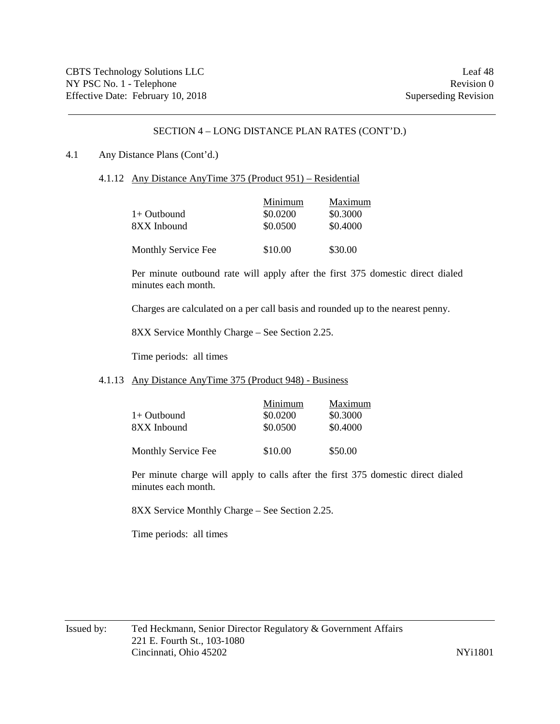#### 4.1 Any Distance Plans (Cont'd.)

4.1.12 Any Distance AnyTime 375 (Product 951) – Residential

| $1+$ Outbound<br>8XX Inbound | Minimum<br>\$0.0200<br>\$0.0500 | Maximum<br>\$0.3000<br>\$0.4000 |
|------------------------------|---------------------------------|---------------------------------|
| Monthly Service Fee          | \$10.00                         | \$30.00                         |

Per minute outbound rate will apply after the first 375 domestic direct dialed minutes each month.

Charges are calculated on a per call basis and rounded up to the nearest penny.

8XX Service Monthly Charge – See Section 2.25.

Time periods: all times

### 4.1.13 Any Distance AnyTime 375 (Product 948) - Business

| $1+$ Outbound<br>8XX Inbound | Minimum<br>\$0.0200<br>\$0.0500 | Maximum<br>\$0.3000<br>\$0.4000 |
|------------------------------|---------------------------------|---------------------------------|
| Monthly Service Fee          | \$10.00                         | \$50.00                         |

Per minute charge will apply to calls after the first 375 domestic direct dialed minutes each month.

8XX Service Monthly Charge – See Section 2.25.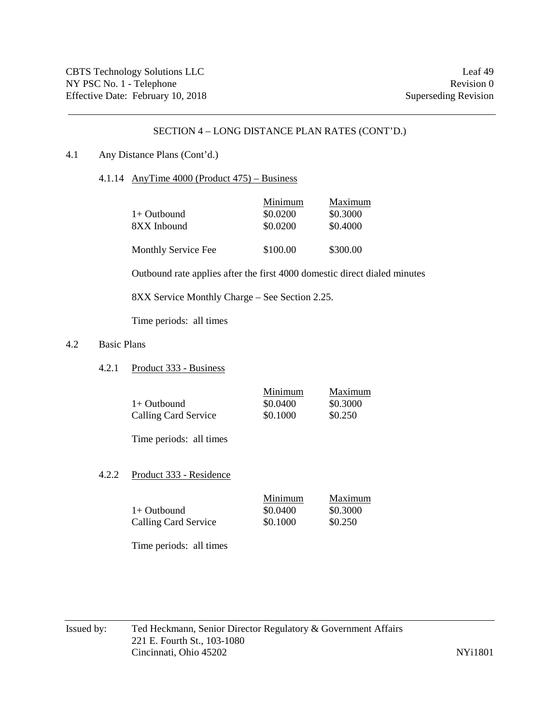### 4.1 Any Distance Plans (Cont'd.)

4.1.14 AnyTime 4000 (Product 475) – Business

| $1+$ Outbound<br>8XX Inbound | Minimum<br>\$0.0200<br>\$0.0200 | Maximum<br>\$0.3000<br>\$0.4000 |
|------------------------------|---------------------------------|---------------------------------|
| Monthly Service Fee          | \$100.00                        | \$300.00                        |

Outbound rate applies after the first 4000 domestic direct dialed minutes

8XX Service Monthly Charge – See Section 2.25.

Time periods: all times

## 4.2 Basic Plans

4.2.1 Product 333 - Business

|                      | Minimum  | Maximum  |
|----------------------|----------|----------|
| $1+$ Outbound        | \$0.0400 | \$0.3000 |
| Calling Card Service | \$0.1000 | \$0.250  |

Time periods: all times

### 4.2.2 Product 333 - Residence

|                             | Minimum  | Maximum  |
|-----------------------------|----------|----------|
| 1+ Outbound                 | \$0.0400 | \$0.3000 |
| <b>Calling Card Service</b> | \$0.1000 | \$0.250  |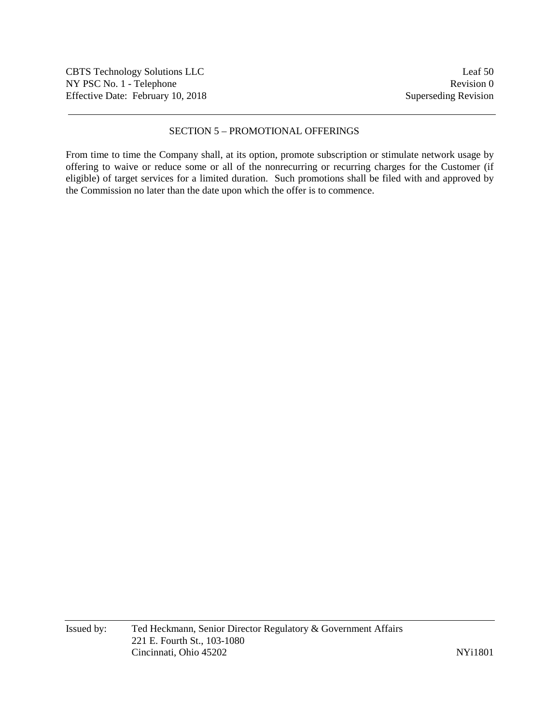# SECTION 5 – PROMOTIONAL OFFERINGS

From time to time the Company shall, at its option, promote subscription or stimulate network usage by offering to waive or reduce some or all of the nonrecurring or recurring charges for the Customer (if eligible) of target services for a limited duration. Such promotions shall be filed with and approved by the Commission no later than the date upon which the offer is to commence.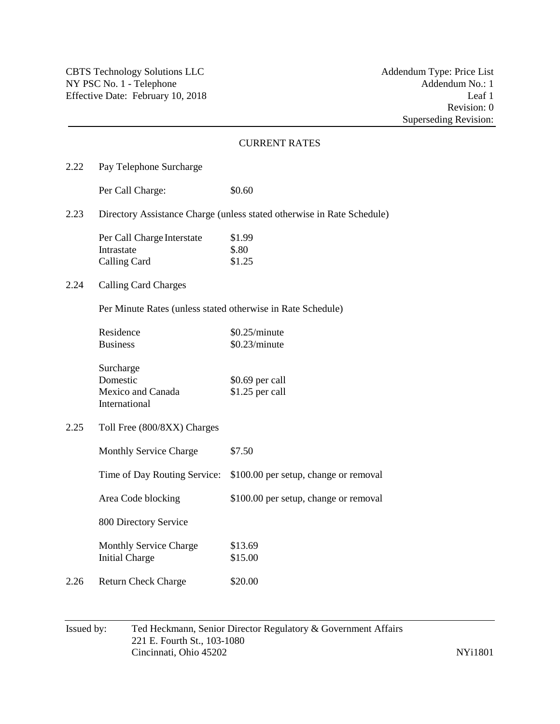|      |                                                                        | <b>CURRENT RATES</b>                  |  |
|------|------------------------------------------------------------------------|---------------------------------------|--|
| 2.22 | Pay Telephone Surcharge                                                |                                       |  |
|      | Per Call Charge:                                                       | \$0.60                                |  |
| 2.23 | Directory Assistance Charge (unless stated otherwise in Rate Schedule) |                                       |  |
|      | Per Call Charge Interstate<br>Intrastate<br><b>Calling Card</b>        | \$1.99<br>\$.80<br>\$1.25             |  |
| 2.24 | <b>Calling Card Charges</b>                                            |                                       |  |
|      | Per Minute Rates (unless stated otherwise in Rate Schedule)            |                                       |  |
|      | Residence<br><b>Business</b>                                           | \$0.25/minute<br>\$0.23/minute        |  |
|      | Surcharge<br>Domestic<br>Mexico and Canada<br>International            | \$0.69 per call<br>\$1.25 per call    |  |
| 2.25 | Toll Free (800/8XX) Charges                                            |                                       |  |
|      | Monthly Service Charge                                                 | \$7.50                                |  |
|      | Time of Day Routing Service:                                           | \$100.00 per setup, change or removal |  |
|      | Area Code blocking                                                     | \$100.00 per setup, change or removal |  |
|      | 800 Directory Service                                                  |                                       |  |
|      | Monthly Service Charge<br><b>Initial Charge</b>                        | \$13.69<br>\$15.00                    |  |
| 2.26 | <b>Return Check Charge</b>                                             | \$20.00                               |  |

# Issued by: Ted Heckmann, Senior Director Regulatory & Government Affairs 221 E. Fourth St., 103-1080 Cincinnati, Ohio 45202 NYi1801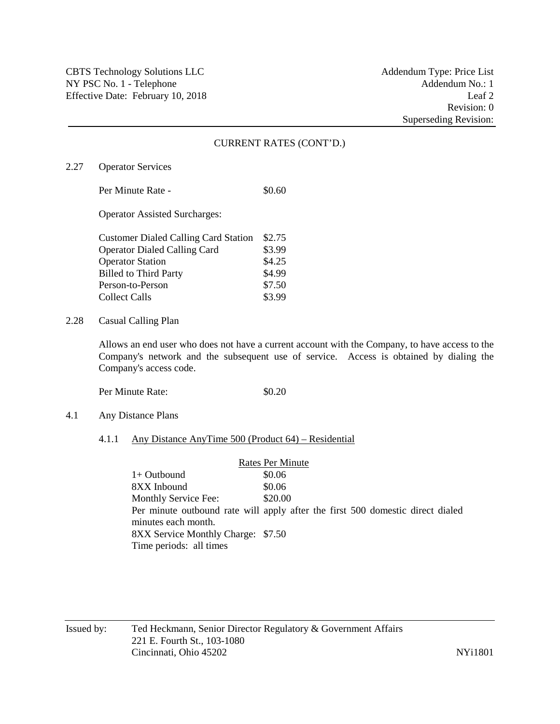2.27 Operator Services

Per Minute Rate - \$0.60

Operator Assisted Surcharges:

| <b>Customer Dialed Calling Card Station</b> | \$2.75 |
|---------------------------------------------|--------|
| <b>Operator Dialed Calling Card</b>         | \$3.99 |
| <b>Operator Station</b>                     | \$4.25 |
| <b>Billed to Third Party</b>                | \$4.99 |
| Person-to-Person                            | \$7.50 |
| Collect Calls                               | \$3.99 |

2.28 Casual Calling Plan

Allows an end user who does not have a current account with the Company, to have access to the Company's network and the subsequent use of service. Access is obtained by dialing the Company's access code.

Per Minute Rate:  $\$0.20$ 

4.1 Any Distance Plans

#### 4.1.1 Any Distance AnyTime 500 (Product 64) – Residential

Rates Per Minute  $1+$  Outbound  $\$0.06$ 8XX Inbound \$0.06 Monthly Service Fee: \$20.00 Per minute outbound rate will apply after the first 500 domestic direct dialed minutes each month. 8XX Service Monthly Charge: \$7.50 Time periods: all times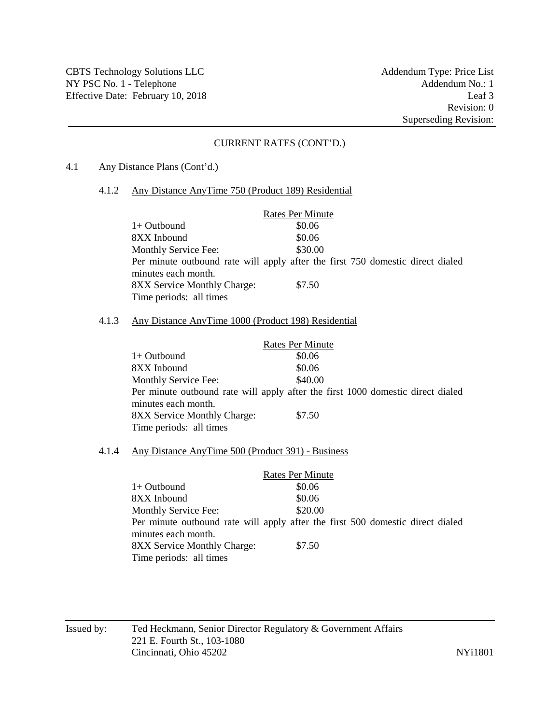4.1 Any Distance Plans (Cont'd.)

#### 4.1.2 Any Distance AnyTime 750 (Product 189) Residential

|                                                                                | <b>Rates Per Minute</b> |  |  |
|--------------------------------------------------------------------------------|-------------------------|--|--|
| $1+$ Outbound                                                                  | \$0.06                  |  |  |
| 8XX Inbound                                                                    | \$0.06                  |  |  |
| <b>Monthly Service Fee:</b>                                                    | \$30.00                 |  |  |
| Per minute outbound rate will apply after the first 750 domestic direct dialed |                         |  |  |
| minutes each month.                                                            |                         |  |  |
| <b>8XX Service Monthly Charge:</b>                                             | \$7.50                  |  |  |
| Time periods: all times                                                        |                         |  |  |

#### 4.1.3 Any Distance AnyTime 1000 (Product 198) Residential

|                                                                                 | <b>Rates Per Minute</b> |  |
|---------------------------------------------------------------------------------|-------------------------|--|
| $1+$ Outbound                                                                   | \$0.06                  |  |
| 8XX Inbound                                                                     | \$0.06                  |  |
| Monthly Service Fee:                                                            | \$40.00                 |  |
| Per minute outbound rate will apply after the first 1000 domestic direct dialed |                         |  |
| minutes each month.                                                             |                         |  |
| <b>8XX Service Monthly Charge:</b>                                              | \$7.50                  |  |
| Time periods: all times                                                         |                         |  |

#### 4.1.4 Any Distance AnyTime 500 (Product 391) - Business

|                                                                                | <b>Rates Per Minute</b> |  |
|--------------------------------------------------------------------------------|-------------------------|--|
| 1+ Outbound                                                                    | \$0.06                  |  |
| 8XX Inbound                                                                    | \$0.06                  |  |
| <b>Monthly Service Fee:</b>                                                    | \$20.00                 |  |
| Per minute outbound rate will apply after the first 500 domestic direct dialed |                         |  |
| minutes each month.                                                            |                         |  |
| <b>8XX Service Monthly Charge:</b>                                             | \$7.50                  |  |
| Time periods: all times                                                        |                         |  |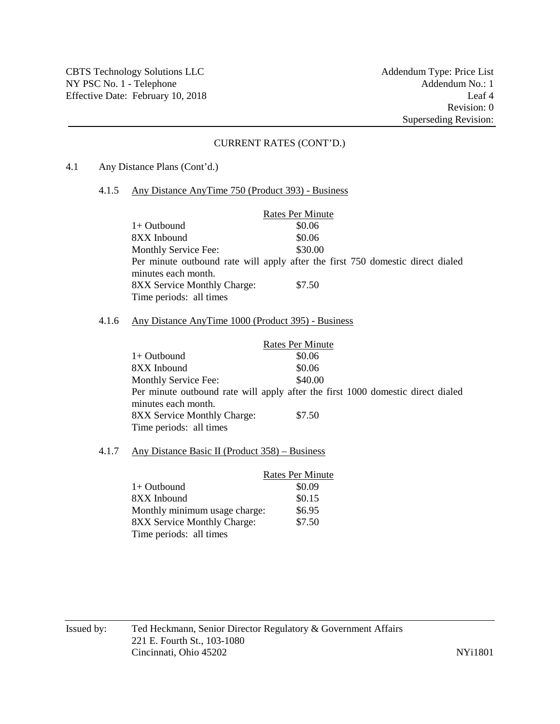4.1 Any Distance Plans (Cont'd.)

#### 4.1.5 Any Distance AnyTime 750 (Product 393) - Business

|                                                                                | <b>Rates Per Minute</b> |  |
|--------------------------------------------------------------------------------|-------------------------|--|
| $1+$ Outbound                                                                  | \$0.06                  |  |
| 8XX Inbound                                                                    | \$0.06                  |  |
| <b>Monthly Service Fee:</b>                                                    | \$30.00                 |  |
| Per minute outbound rate will apply after the first 750 domestic direct dialed |                         |  |
| minutes each month.                                                            |                         |  |
| <b>8XX Service Monthly Charge:</b>                                             | \$7.50                  |  |
| Time periods: all times                                                        |                         |  |

#### 4.1.6 Any Distance AnyTime 1000 (Product 395) - Business

|                                                                                 | <b>Rates Per Minute</b> |  |
|---------------------------------------------------------------------------------|-------------------------|--|
| $1+$ Outbound                                                                   | \$0.06                  |  |
| 8XX Inbound                                                                     | \$0.06                  |  |
| Monthly Service Fee:                                                            | \$40.00                 |  |
| Per minute outbound rate will apply after the first 1000 domestic direct dialed |                         |  |
| minutes each month.                                                             |                         |  |
| 8XX Service Monthly Charge:                                                     | \$7.50                  |  |
| Time periods: all times                                                         |                         |  |

## 4.1.7 Any Distance Basic II (Product 358) – Business

|                               | <b>Rates Per Minute</b> |
|-------------------------------|-------------------------|
| $1+$ Outbound                 | \$0.09                  |
| 8XX Inbound                   | \$0.15                  |
| Monthly minimum usage charge: | \$6.95                  |
| 8XX Service Monthly Charge:   | \$7.50                  |
| Time periods: all times       |                         |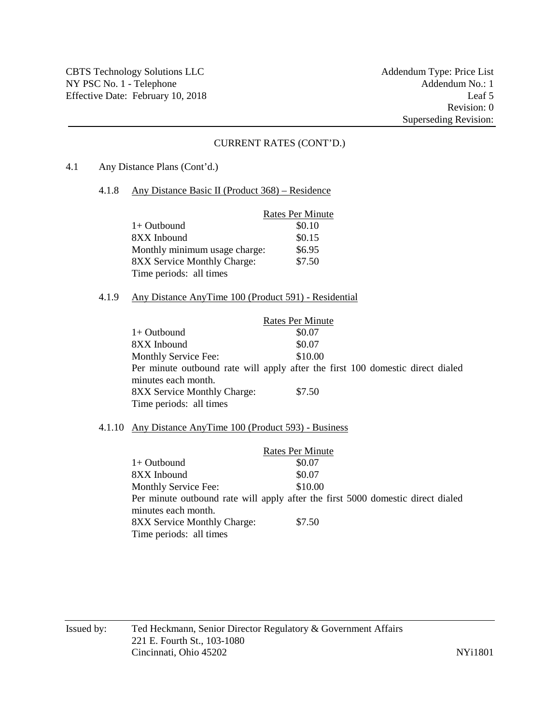4.1 Any Distance Plans (Cont'd.)

#### 4.1.8 Any Distance Basic II (Product 368) – Residence

|                               | <b>Rates Per Minute</b> |
|-------------------------------|-------------------------|
| $1+$ Outbound                 | \$0.10                  |
| 8XX Inbound                   | \$0.15                  |
| Monthly minimum usage charge: | \$6.95                  |
| 8XX Service Monthly Charge:   | \$7.50                  |
| Time periods: all times       |                         |

## 4.1.9 Any Distance AnyTime 100 (Product 591) - Residential

|                                                                                | <b>Rates Per Minute</b> |  |  |
|--------------------------------------------------------------------------------|-------------------------|--|--|
| $1+$ Outbound                                                                  | \$0.07                  |  |  |
| 8XX Inbound                                                                    | \$0.07                  |  |  |
| Monthly Service Fee:                                                           | \$10.00                 |  |  |
| Per minute outbound rate will apply after the first 100 domestic direct dialed |                         |  |  |
| minutes each month.                                                            |                         |  |  |
| <b>8XX Service Monthly Charge:</b>                                             | \$7.50                  |  |  |
| Time periods: all times                                                        |                         |  |  |

### 4.1.10 Any Distance AnyTime 100 (Product 593) - Business

|                                                                                 | <b>Rates Per Minute</b> |  |
|---------------------------------------------------------------------------------|-------------------------|--|
| $1+$ Outbound                                                                   | \$0.07                  |  |
| 8XX Inbound                                                                     | \$0.07                  |  |
| Monthly Service Fee:                                                            | \$10.00                 |  |
| Per minute outbound rate will apply after the first 5000 domestic direct dialed |                         |  |
| minutes each month.                                                             |                         |  |
| <b>8XX Service Monthly Charge:</b>                                              | \$7.50                  |  |
| Time periods: all times                                                         |                         |  |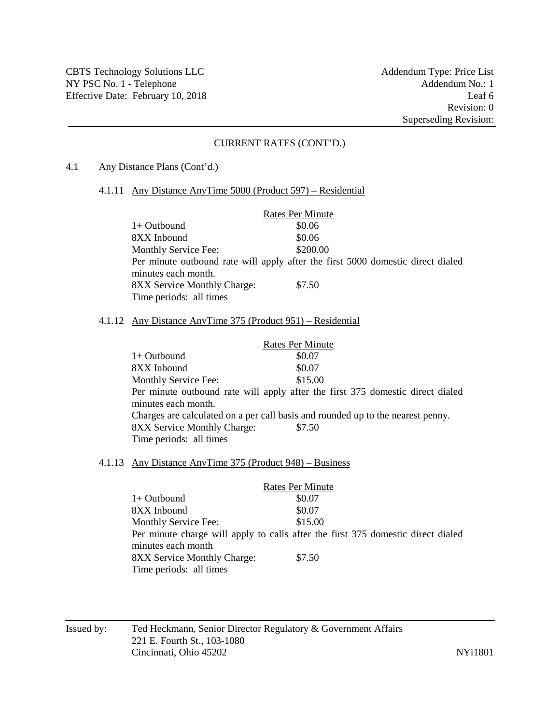4.1 Any Distance Plans (Cont'd.)

#### 4.1.11 Any Distance AnyTime 5000 (Product 597) – Residential

|                                                                                 | <b>Rates Per Minute</b> |  |
|---------------------------------------------------------------------------------|-------------------------|--|
| $1+$ Outbound                                                                   | \$0.06                  |  |
| 8XX Inbound                                                                     | \$0.06                  |  |
| <b>Monthly Service Fee:</b>                                                     | \$200.00                |  |
| Per minute outbound rate will apply after the first 5000 domestic direct dialed |                         |  |
| minutes each month.                                                             |                         |  |
| <b>8XX Service Monthly Charge:</b>                                              | \$7.50                  |  |
| Time periods: all times                                                         |                         |  |

#### 4.1.12 Any Distance AnyTime 375 (Product 951) – Residential

| <b>Rates Per Minute</b>                                                         |                                                                                |  |
|---------------------------------------------------------------------------------|--------------------------------------------------------------------------------|--|
| $1+$ Outbound                                                                   | \$0.07                                                                         |  |
| 8XX Inbound                                                                     | \$0.07                                                                         |  |
| Monthly Service Fee:                                                            | \$15.00                                                                        |  |
|                                                                                 | Per minute outbound rate will apply after the first 375 domestic direct dialed |  |
| minutes each month.                                                             |                                                                                |  |
| Charges are calculated on a per call basis and rounded up to the nearest penny. |                                                                                |  |
| 8XX Service Monthly Charge:                                                     | \$7.50                                                                         |  |
| Time periods: all times                                                         |                                                                                |  |

## 4.1.13 Any Distance AnyTime 375 (Product 948) – Business

|                                    | <b>Rates Per Minute</b>                                                          |
|------------------------------------|----------------------------------------------------------------------------------|
| $1+$ Outbound                      | \$0.07                                                                           |
| 8XX Inbound                        | \$0.07                                                                           |
| <b>Monthly Service Fee:</b>        | \$15.00                                                                          |
|                                    | Per minute charge will apply to calls after the first 375 domestic direct dialed |
| minutes each month                 |                                                                                  |
| <b>8XX Service Monthly Charge:</b> | \$7.50                                                                           |
| Time periods: all times            |                                                                                  |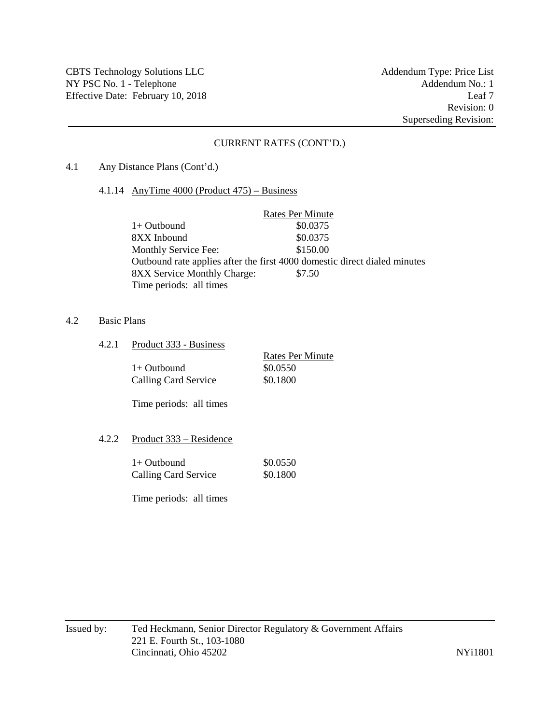#### 4.1 Any Distance Plans (Cont'd.)

4.1.14 AnyTime 4000 (Product 475) – Business

|                                    | <b>Rates Per Minute</b>                                                   |
|------------------------------------|---------------------------------------------------------------------------|
| $1+$ Outbound                      | \$0.0375                                                                  |
| 8XX Inbound                        | \$0.0375                                                                  |
| <b>Monthly Service Fee:</b>        | \$150.00                                                                  |
|                                    | Outbound rate applies after the first 4000 domestic direct dialed minutes |
| <b>8XX Service Monthly Charge:</b> | \$7.50                                                                    |
| Time periods: all times            |                                                                           |

#### 4.2 Basic Plans

4.2.1 Product 333 - Business

|                      | Rates Per Minute |
|----------------------|------------------|
| $1+$ Outbound        | \$0.0550         |
| Calling Card Service | \$0.1800         |

Time periods: all times

## 4.2.2 Product 333 – Residence

| $1+$ Outbound        | \$0.0550 |
|----------------------|----------|
| Calling Card Service | \$0.1800 |